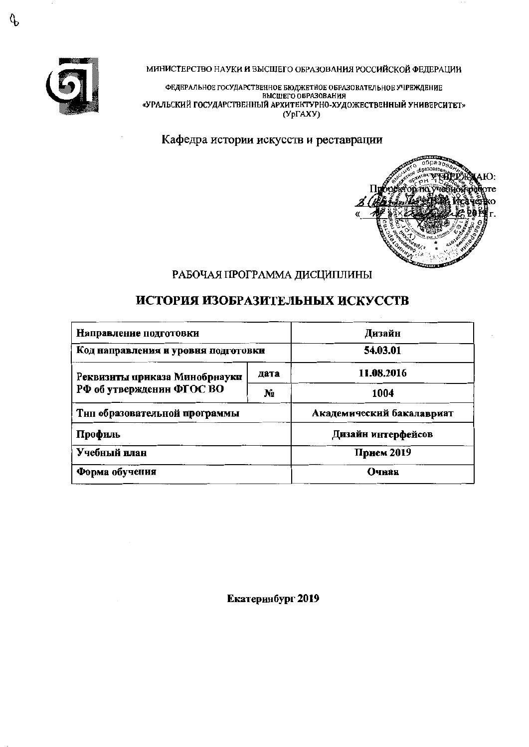

МИНИСТЕРСТВО НАУКИ И ВЫСШЕГО ОБРАЗОВАНИЯ РОССИЙСКОЙ ФЕДЕРАЦИИ

ФЕДЕРАЛЬНОЕ ГОСУДАРСТВЕННОЕ БЮДЖЕТНОЕ ОБРАЗОВАТЕЛЬНОЕ УЧРЕЖДЕНИЕ ВЫСШЕГО ОБРАЗОВАНИЯ «УРАЛЬСКИЙ ГОСУДАРСТВЕННЫЙ АРХИТЕКТУРНО-ХУДОЖЕСТВЕННЫЙ УНИВЕРСИТЕТ»  $(Yp\Gamma A XY)$ 

Кафедра истории искусств и реставрации



# РАБОЧАЯ ПРОГРАММА ДИСЦИПЛИНЫ

# ИСТОРИЯ ИЗОБРАЗИТЕЛЬНЫХ ИСКУССТВ

| Направление подготовки              | Дизайн         |                           |  |  |
|-------------------------------------|----------------|---------------------------|--|--|
| Код направления и уровня подготовки |                | 54.03.01                  |  |  |
| Реквизиты приказа Минобрнауки       | дата           | 11.08.2016                |  |  |
| РФ об утвержденин ФГОС ВО           | N <sub>2</sub> | 1004                      |  |  |
| Тнп образовательной программы       |                | Академический бакалавриат |  |  |
| Профиль                             |                | Дизайн интерфейсов        |  |  |
| Учебный план                        |                | Прием 2019                |  |  |
| Форма обучения                      |                | Очная                     |  |  |

Екатеринбург 2019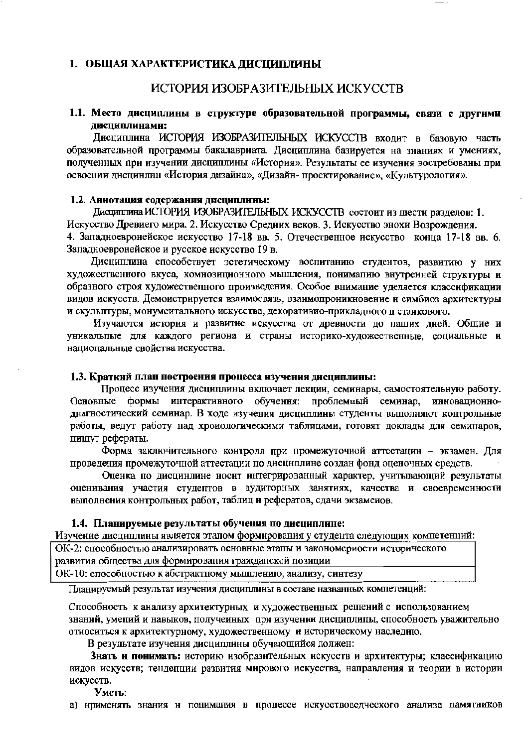#### 1. ОБШАЯ ХАРАКТЕРИСТИКА ДИСЦИПЛИНЫ

## ИСТОРИЯ ИЗОБРАЗИТЕЛЬНЫХ ИСКУССТВ

#### 1.1. Место дисциплины в структуре образовательной программы, связи с другими лиспиплинами:

Дисциплина ИСТОРИЯ ИЗОБРАЗИТЕЛЬНЫХ ИСКУССТВ входит в базовую часть образовательной программы бакалавриата. Дисциплина базируется на знаниях и умениях, полученных при изучении дисциплины «История». Результаты ее изучения востребованы при освоении дисцинлин «История дизайна», «Дизайн-проектирование», «Культурология».

#### 1.2. Аннотация содержания дисциплины:

Лиспиппина ИСТОРИЯ ИЗОБРАЗИТЕЛЬНЫХ ИСКУССТВ состоит из шести разделов: 1. Искусство Древиего мира, 2. Искусство Средних веков. 3. Искусство энохи Возрождения. 4. Запалноевронейское искусство 17-18 вв. 5. Отечественное искусство конца 17-18 вв. 6. Запалноевронейское и русское искусство 19 в.

Дисциплина способствует эстетическому воспитанию студентов, развитию у них художествениого вкуса, комнозиционного мышления, пониманию внутренней структуры и образного строя художественного произведения. Особое внимание уделяется классификации видов искусств. Демоистрируется взаимосвязь, взаимопроникновение и симбиоз архитектуры и скульптуры, монументального искусства, декоративио-прикладного н станкового.

Изучаются история и развитие искусства от древности до паших дней. Общие и уникальпые для каждого региона и страны историко-художественные, социальные и нациопальные свойства искусства.

#### 1.3. Краткий план построения процесса изучения дисциплины:

Процесс изучения дисциплины включает лекции, семинары, самостоятельную работу. формы интерактивного обучения: проблемный семинар, инновационно-Основные днагностический семинар. В ходе изучения дисциплины студенты выполняют контрольные работы, ведут работу над хроиологическими таблицами, готовят доклады для семипаров, пишут рефераты.

Форма заключительного контроля при промежуточной аттестации - экзамен. Для проведения промежуточной аттестации по дисциплине создан фонд оценочных средств.

Оценка по дисцинлине носит интегрированный характер, учитывающий результаты оценивания участия студептов в аудиторных занятиях, качества и своевременности выполнения контрольных работ, таблиц и рефератов, сдачи экзаменов.

#### 1.4. Планируемые результаты обучения по дисциплине:

Изучение дисциплины является этапом формирования у студента следующих компетенций:

ОК-2: способностью анализировать основные этапы и закономериости исторического развития общества для формирования гражданской позиции

ОК-10: способностью к абстрактному мышлению, анализу, синтезу

Планируемый результат изучения дисциплины в составе названных компетенций:

Способность к анализу архитектурных и художественных решений с использованием знаний, умений и навыков, получеиных при изучении дисциплины, способность уважительно относиться к архитектурному, художественному и историческому наследию.

В результате изучения дисциплины обучающийся должен:

Знать и понимать: историю изобразнтельных искусств и архитектуры; классификацию видов искусств; тендепции развития мирового искусства, направления и теории в истории искусств.

Уметь:

а) нрименять знания и понимания в процессе искусствоведческого анализа памятииков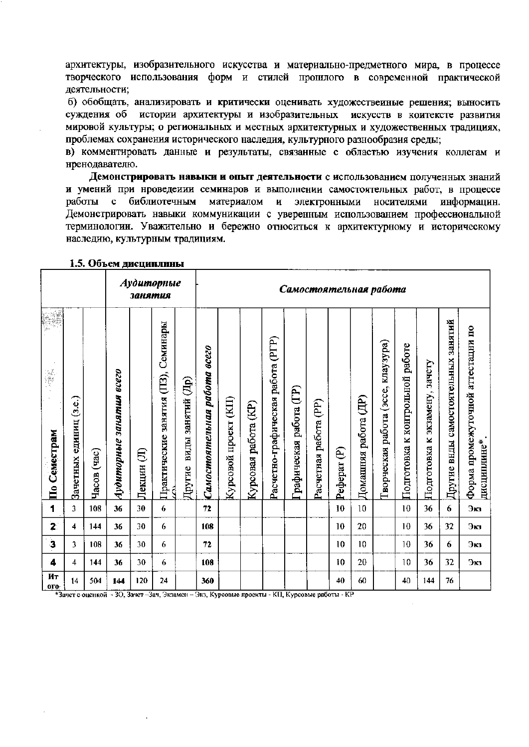архитектуры, изобразительного искусства и материально-предметного мира, в процессе творческого использования форм и стилей прошлого в современной практической деятельности;

б) обобщать, анализировать и критически оценивать художествеиные решения; выносить суждения об истории архитектуры и изобразительных искусств в коитексте развития мировой культуры; о региональных и местных архитектурных и художественных традициях, проблемах сохранения исторического наследия, культурного разнообразия среды;

в) комментировать данные и результаты, связанные с областью изучения коллегам и нренодавателю.

Демонстрировать навыки и опыт деятельности с использованием полученных знаний и умений при нроведеиии семинаров и выполнении самостоятельных работ, в процессе библиотечным материалом работы  $\mathbf{H}$ электронными носителями  $\mathbf{c}$ информацин. Демонстрировать навыки коммуникации с уверенным использованием профессиональной терминологии. Уважительно и бережно относиться к архитектурному и историческому наследию, культурным традициям.

|                         | Аудиторные<br>занятия     |             |                          |             |                                     |                             |                              | Самостоятельная работа |                                      |                                   |                        |                       |             |                      |                                       |                                       |                               |                                     |                                                  |
|-------------------------|---------------------------|-------------|--------------------------|-------------|-------------------------------------|-----------------------------|------------------------------|------------------------|--------------------------------------|-----------------------------------|------------------------|-----------------------|-------------|----------------------|---------------------------------------|---------------------------------------|-------------------------------|-------------------------------------|--------------------------------------------------|
| 溪潭<br>По Семестрам      | (3.e.)<br>Зачетных единиц | Часов (час) | Аудиторные занятия всего | €<br>Лекции | Практические занятия (ПЗ), Семинары | виды занятий (Др)<br>Другие | Самостоятельная работа всего | Курсовой проект (КП)   | $\mathfrak{E}$<br>работа<br>Курсовая | Расчетно-графическая работа (PГР) | рафическая работа (ГР) | Расчетная работа (PP) | Peфepar (P) | Домашняя работа (ДР) | работа (эссе, клаузура)<br>Гворческая | работе<br>к контрольной<br>Подготовка | Подготовка к экзамену, зачету | Другие внды самостоятельных занятий | Форма промежуточной аттестации по<br>дисциплине* |
| 1                       | 3                         | 108         | 36                       | 30          | 6                                   |                             | 72                           |                        |                                      |                                   |                        |                       | 10          | 10                   |                                       | 10                                    | 36                            | 6                                   | Эю                                               |
| $\mathbf{z}$            | 4                         | 144         | 36                       | 30          | 6                                   |                             | 108                          |                        |                                      |                                   |                        |                       | 10          | 20                   |                                       | 10                                    | 36                            | 32                                  | Экз                                              |
| $\overline{\mathbf{3}}$ | 3                         | 108         | 36                       | 30          | 6                                   |                             | 72                           |                        |                                      |                                   |                        |                       | 10          | 10                   |                                       | 10                                    | 36                            | 6                                   | Экз                                              |
| 4                       | 4                         | 144         | 36                       | 30          | 6                                   |                             | 108                          |                        |                                      |                                   |                        |                       | 10          | 20                   |                                       | 10                                    | 36                            | 32                                  | Экз                                              |
| Ит<br>OFO.              | 14                        | 504         | 144                      | 120         | 24                                  |                             | 360                          |                        |                                      |                                   |                        |                       | 40          | 60                   |                                       | 40                                    | 144                           | 76                                  |                                                  |

#### 1.5. Объем дисциплины

\*Зачет с оценкой - 30, Зачет-Зач, Экзамен - Экз, Курсовые проекты - КП, Курсовые работы - КР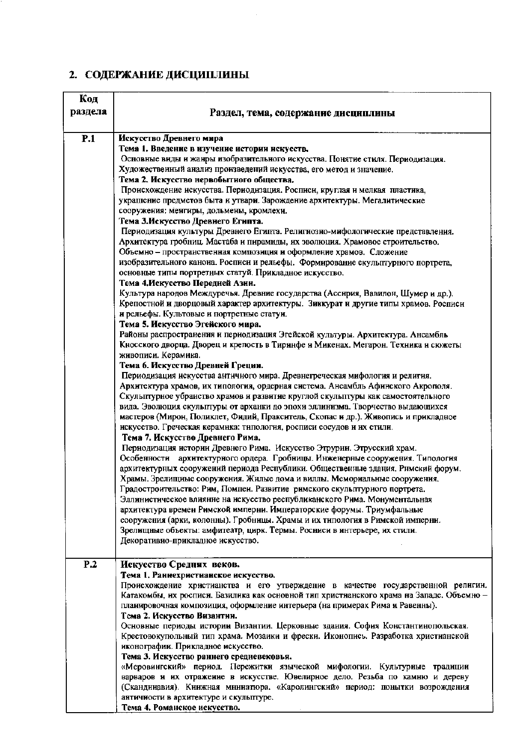# 2. СОДЕРЖАНИЕ ДИСЦИПЛИНЫ

| Код     |                                                                                                                                                                               |
|---------|-------------------------------------------------------------------------------------------------------------------------------------------------------------------------------|
| раздела | Раздел, тема, содержание дисциплины                                                                                                                                           |
|         |                                                                                                                                                                               |
| P.1     | Искусство Древнего мира                                                                                                                                                       |
|         | Тема 1. Введение в изучение истории искусств.                                                                                                                                 |
|         | Основные виды и жанры изобразительного искусства. Понятие стиля. Периодизация.                                                                                                |
|         | Художественный анализ произведений искусства, его метод и значение.                                                                                                           |
|         | Тема 2. Искусство нервобытного общества.                                                                                                                                      |
|         | Происхождение искусства. Периодизация. Росписи, круглая и мелкая пластика,                                                                                                    |
|         | украшение предметов быта и утвари. Зарождение архитектуры. Мегалитические                                                                                                     |
|         | сооружения: менгиры, дольмены, кромлехи.                                                                                                                                      |
|         | Тема З.Искусство Древиего Египта.                                                                                                                                             |
|         | Пернодизация культуры Древнего Египта. Религиозно-мифологические представления.<br>Архитектура гробниц. Мастаба и пирамиды, их эволюция. Храмовое строительство.              |
|         | Объемно - пространственная композиция и оформление храмов. Сложение                                                                                                           |
|         | изобразительного канона. Росписи и рельефы. Формирование скульптурного портрета,                                                                                              |
|         | основные типы портретных статуй. Прикладное искусство.                                                                                                                        |
|         | Тема 4. Искусство Передней Азии.                                                                                                                                              |
|         | Культура народов Междуречья. Древние государства (Ассирия, Вавилон, Шумер и др.).                                                                                             |
|         | Крепостной и дворцовый характер архитектуры. Зиккурат и другие типы храмов. Росписи                                                                                           |
|         | и рельефы. Культовые и портретные статуи.                                                                                                                                     |
|         | Тема 5. Искусство Эгейского мира.                                                                                                                                             |
|         | Районы распространения и периодизация Эгейской культуры. Архитектура. Ансамбль                                                                                                |
|         | Кносского дворца. Дворец и крепость в Тиринфе и Микенах. Мегарон. Техника и сюжеты                                                                                            |
|         | живописи. Керамика.<br>Тема 6. Искусство Древней Греции.                                                                                                                      |
|         | Периодизация искусства античного мира. Древнегреческая мифология и религия.                                                                                                   |
|         | Архитектура храмов, их типология, ордерная система. Ансамбль Афинского Акрополя.                                                                                              |
|         | Скульптурное убранство храмов и развитие круглой скульптуры как самостоятельного                                                                                              |
|         | вида. Эволюция скульптуры от арханки до эпохи эллинизма. Творчество выдающихся                                                                                                |
|         | мастеров (Мирон, Поликлет, Фидий, Пракситель, Скопас и др.). Живопись и прикладное                                                                                            |
|         | искусство. Греческая керамика: типология, росписи сосудов и их стили.                                                                                                         |
|         | Тема 7. Искусство Древнего Рима.                                                                                                                                              |
|         | Периодизация истории Древнего Рима. Искусство Этрурии. Этрусский храм.                                                                                                        |
|         | Особенности<br>архитектурного ордера. Гробницы. Инженерные сооружения. Типология                                                                                              |
|         | архитектурных сооружений периода Республики. Общественные здания. Римский форум.<br>Храмы. Зрелищные сооружения. Жилые дома и виллы. Мемориальные сооружения.                 |
|         | Градостроительство: Рим, Помпеи. Развитие римского скульптурного портрета.                                                                                                    |
|         | Эллинистическое влиянне на искусство республиканского Рима. Монументальная                                                                                                    |
|         | архитектура времен Римской империи. Императорские форумы. Триумфальные                                                                                                        |
|         | сооружения (арки, колонны). Гробницы. Храмы и их типология в Римской имперни.                                                                                                 |
|         | Зрелищные объекты: амфитеатр, цирк. Термы. Росниси в интерьере, их стили.                                                                                                     |
|         | Декоративно-прикладное искусство.                                                                                                                                             |
|         |                                                                                                                                                                               |
| P.2     | Искусство Средних веков.                                                                                                                                                      |
|         | Тема 1. Раннехристианское искусство.                                                                                                                                          |
|         | Происхождение христианства и его утверждение в качестве государственной религии.<br>Катакомбы, их росписи. Базилика как основной тип христианского храма на Западе. Объемно - |
|         | планировочная композиция, оформление интерьера (на примерах Рима и Равенны).                                                                                                  |
|         | Тема 2. Искусство Византни.                                                                                                                                                   |
|         | Основные периоды истории Византии. Церковные здания. София Константинопольская.                                                                                               |
|         | Крестовокупольный тип храма. Мозаики и фрески. Иконопись. Разработка христианской                                                                                             |
|         | иконографии. Прикладное искусство.                                                                                                                                            |
|         | Тема 3. Искусство раннего средневековья.                                                                                                                                      |
|         | «Меровингский» период. Пережитки языческой мифологии. Культурные традиции                                                                                                     |
|         | варваров и их отражение в искусстве. Ювелирное дело. Резьба по камню и дереву                                                                                                 |
|         | (Скандинавия). Книжная мнинатюра. «Каролингский» период: понытки возрождения<br>античности в архитектуре и скульптуре.                                                        |
|         | Тема 4. Романское искусство.                                                                                                                                                  |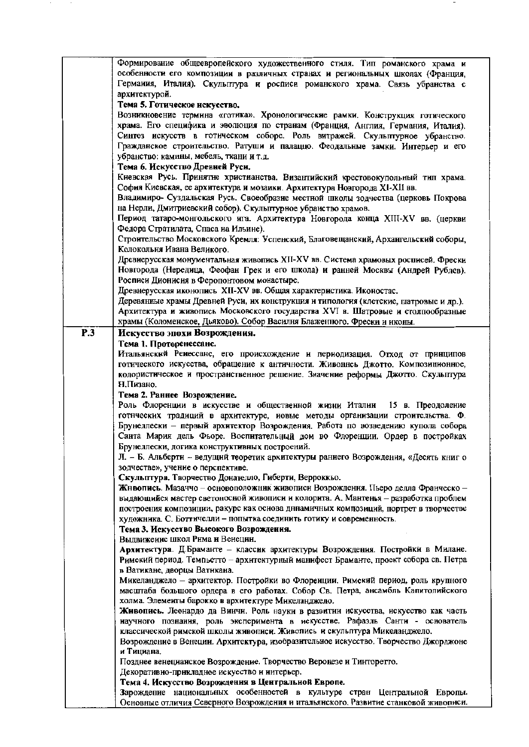| Формирование общеевропейского художественного стиля. Тип романского храма и<br>особенности его композиции в различных странах и региональных школах (Франция,<br>Германия, Италия). Скульптура и росписи романского храма. Связь убранства с<br>архитектурой.<br>Тема 5. Готическое нскусство.<br>Возникновение термина «готика». Хронологические рамки. Конструкция готического<br>храма. Его специфика и эволюция по странам (Франция, Англия, Германия, Италия).<br>Синтез искусств в готическом соборе. Роль витражей. Скульптурное убранство.<br>Гражданское строительство. Ратуши и палаццо. Феодальные замки. Интерьер и его<br>убранство: камины, мебель, ткани и т.д.<br>Тема 6. Искусство Древней Руси.<br>Киевская Русь. Принятие христианства. Византийский крестовокупольный тип храма.<br>София Киевская, ее архитектура и мозаики. Архитектура Новгорода XI-XII вв.<br>Владимиро- Суздальская Русь. Своеобразие местной школы зодчества (церковь Покрова<br>на Нерли, Дмитриевский собор). Скулыптурное убранство храмов.<br>Период татаро-монгольского ита. Архитектура Новгорода конца XIII-XV вв. (церкви<br>Федора Стратилата, Спаса на Ильине).<br>Строительство Московского Кремля: Успенский, Благовещанский, Архангельский соборы,<br>Колокольня Ивана Великого.<br>Древнерусская монументальная живопись XII-XV вв. Система храмовых росписей. Фрески<br>Новгорода (Нередица, Феофан Грек и его школа) и ранней Москвы (Андрей Рублев).<br>Росписи Дионисия в Феропонтовом монастыре.<br>Древнерусская иконопись XII-XV вв. Общая характеристика. Иконостас.<br>Деревянные храмы Древней Руси, их конструкция и типология (клетские, шатровые и др.).<br>Архитектура и живопись Московского государства XVI в. Шатровые и столпообразные<br>храмы (Коломенское, Дьяково). Собор Василня Блаженного. Фрески и иконы.<br>P.3<br>Искусство эпохи Возрождения. |  |
|------------------------------------------------------------------------------------------------------------------------------------------------------------------------------------------------------------------------------------------------------------------------------------------------------------------------------------------------------------------------------------------------------------------------------------------------------------------------------------------------------------------------------------------------------------------------------------------------------------------------------------------------------------------------------------------------------------------------------------------------------------------------------------------------------------------------------------------------------------------------------------------------------------------------------------------------------------------------------------------------------------------------------------------------------------------------------------------------------------------------------------------------------------------------------------------------------------------------------------------------------------------------------------------------------------------------------------------------------------------------------------------------------------------------------------------------------------------------------------------------------------------------------------------------------------------------------------------------------------------------------------------------------------------------------------------------------------------------------------------------------------------------------------------------------------------------------------------------------------------------------------|--|
|                                                                                                                                                                                                                                                                                                                                                                                                                                                                                                                                                                                                                                                                                                                                                                                                                                                                                                                                                                                                                                                                                                                                                                                                                                                                                                                                                                                                                                                                                                                                                                                                                                                                                                                                                                                                                                                                                    |  |
|                                                                                                                                                                                                                                                                                                                                                                                                                                                                                                                                                                                                                                                                                                                                                                                                                                                                                                                                                                                                                                                                                                                                                                                                                                                                                                                                                                                                                                                                                                                                                                                                                                                                                                                                                                                                                                                                                    |  |
|                                                                                                                                                                                                                                                                                                                                                                                                                                                                                                                                                                                                                                                                                                                                                                                                                                                                                                                                                                                                                                                                                                                                                                                                                                                                                                                                                                                                                                                                                                                                                                                                                                                                                                                                                                                                                                                                                    |  |
|                                                                                                                                                                                                                                                                                                                                                                                                                                                                                                                                                                                                                                                                                                                                                                                                                                                                                                                                                                                                                                                                                                                                                                                                                                                                                                                                                                                                                                                                                                                                                                                                                                                                                                                                                                                                                                                                                    |  |
|                                                                                                                                                                                                                                                                                                                                                                                                                                                                                                                                                                                                                                                                                                                                                                                                                                                                                                                                                                                                                                                                                                                                                                                                                                                                                                                                                                                                                                                                                                                                                                                                                                                                                                                                                                                                                                                                                    |  |
|                                                                                                                                                                                                                                                                                                                                                                                                                                                                                                                                                                                                                                                                                                                                                                                                                                                                                                                                                                                                                                                                                                                                                                                                                                                                                                                                                                                                                                                                                                                                                                                                                                                                                                                                                                                                                                                                                    |  |
|                                                                                                                                                                                                                                                                                                                                                                                                                                                                                                                                                                                                                                                                                                                                                                                                                                                                                                                                                                                                                                                                                                                                                                                                                                                                                                                                                                                                                                                                                                                                                                                                                                                                                                                                                                                                                                                                                    |  |
|                                                                                                                                                                                                                                                                                                                                                                                                                                                                                                                                                                                                                                                                                                                                                                                                                                                                                                                                                                                                                                                                                                                                                                                                                                                                                                                                                                                                                                                                                                                                                                                                                                                                                                                                                                                                                                                                                    |  |
|                                                                                                                                                                                                                                                                                                                                                                                                                                                                                                                                                                                                                                                                                                                                                                                                                                                                                                                                                                                                                                                                                                                                                                                                                                                                                                                                                                                                                                                                                                                                                                                                                                                                                                                                                                                                                                                                                    |  |
|                                                                                                                                                                                                                                                                                                                                                                                                                                                                                                                                                                                                                                                                                                                                                                                                                                                                                                                                                                                                                                                                                                                                                                                                                                                                                                                                                                                                                                                                                                                                                                                                                                                                                                                                                                                                                                                                                    |  |
|                                                                                                                                                                                                                                                                                                                                                                                                                                                                                                                                                                                                                                                                                                                                                                                                                                                                                                                                                                                                                                                                                                                                                                                                                                                                                                                                                                                                                                                                                                                                                                                                                                                                                                                                                                                                                                                                                    |  |
|                                                                                                                                                                                                                                                                                                                                                                                                                                                                                                                                                                                                                                                                                                                                                                                                                                                                                                                                                                                                                                                                                                                                                                                                                                                                                                                                                                                                                                                                                                                                                                                                                                                                                                                                                                                                                                                                                    |  |
|                                                                                                                                                                                                                                                                                                                                                                                                                                                                                                                                                                                                                                                                                                                                                                                                                                                                                                                                                                                                                                                                                                                                                                                                                                                                                                                                                                                                                                                                                                                                                                                                                                                                                                                                                                                                                                                                                    |  |
|                                                                                                                                                                                                                                                                                                                                                                                                                                                                                                                                                                                                                                                                                                                                                                                                                                                                                                                                                                                                                                                                                                                                                                                                                                                                                                                                                                                                                                                                                                                                                                                                                                                                                                                                                                                                                                                                                    |  |
|                                                                                                                                                                                                                                                                                                                                                                                                                                                                                                                                                                                                                                                                                                                                                                                                                                                                                                                                                                                                                                                                                                                                                                                                                                                                                                                                                                                                                                                                                                                                                                                                                                                                                                                                                                                                                                                                                    |  |
|                                                                                                                                                                                                                                                                                                                                                                                                                                                                                                                                                                                                                                                                                                                                                                                                                                                                                                                                                                                                                                                                                                                                                                                                                                                                                                                                                                                                                                                                                                                                                                                                                                                                                                                                                                                                                                                                                    |  |
|                                                                                                                                                                                                                                                                                                                                                                                                                                                                                                                                                                                                                                                                                                                                                                                                                                                                                                                                                                                                                                                                                                                                                                                                                                                                                                                                                                                                                                                                                                                                                                                                                                                                                                                                                                                                                                                                                    |  |
|                                                                                                                                                                                                                                                                                                                                                                                                                                                                                                                                                                                                                                                                                                                                                                                                                                                                                                                                                                                                                                                                                                                                                                                                                                                                                                                                                                                                                                                                                                                                                                                                                                                                                                                                                                                                                                                                                    |  |
|                                                                                                                                                                                                                                                                                                                                                                                                                                                                                                                                                                                                                                                                                                                                                                                                                                                                                                                                                                                                                                                                                                                                                                                                                                                                                                                                                                                                                                                                                                                                                                                                                                                                                                                                                                                                                                                                                    |  |
|                                                                                                                                                                                                                                                                                                                                                                                                                                                                                                                                                                                                                                                                                                                                                                                                                                                                                                                                                                                                                                                                                                                                                                                                                                                                                                                                                                                                                                                                                                                                                                                                                                                                                                                                                                                                                                                                                    |  |
|                                                                                                                                                                                                                                                                                                                                                                                                                                                                                                                                                                                                                                                                                                                                                                                                                                                                                                                                                                                                                                                                                                                                                                                                                                                                                                                                                                                                                                                                                                                                                                                                                                                                                                                                                                                                                                                                                    |  |
|                                                                                                                                                                                                                                                                                                                                                                                                                                                                                                                                                                                                                                                                                                                                                                                                                                                                                                                                                                                                                                                                                                                                                                                                                                                                                                                                                                                                                                                                                                                                                                                                                                                                                                                                                                                                                                                                                    |  |
|                                                                                                                                                                                                                                                                                                                                                                                                                                                                                                                                                                                                                                                                                                                                                                                                                                                                                                                                                                                                                                                                                                                                                                                                                                                                                                                                                                                                                                                                                                                                                                                                                                                                                                                                                                                                                                                                                    |  |
|                                                                                                                                                                                                                                                                                                                                                                                                                                                                                                                                                                                                                                                                                                                                                                                                                                                                                                                                                                                                                                                                                                                                                                                                                                                                                                                                                                                                                                                                                                                                                                                                                                                                                                                                                                                                                                                                                    |  |
|                                                                                                                                                                                                                                                                                                                                                                                                                                                                                                                                                                                                                                                                                                                                                                                                                                                                                                                                                                                                                                                                                                                                                                                                                                                                                                                                                                                                                                                                                                                                                                                                                                                                                                                                                                                                                                                                                    |  |
|                                                                                                                                                                                                                                                                                                                                                                                                                                                                                                                                                                                                                                                                                                                                                                                                                                                                                                                                                                                                                                                                                                                                                                                                                                                                                                                                                                                                                                                                                                                                                                                                                                                                                                                                                                                                                                                                                    |  |
|                                                                                                                                                                                                                                                                                                                                                                                                                                                                                                                                                                                                                                                                                                                                                                                                                                                                                                                                                                                                                                                                                                                                                                                                                                                                                                                                                                                                                                                                                                                                                                                                                                                                                                                                                                                                                                                                                    |  |
|                                                                                                                                                                                                                                                                                                                                                                                                                                                                                                                                                                                                                                                                                                                                                                                                                                                                                                                                                                                                                                                                                                                                                                                                                                                                                                                                                                                                                                                                                                                                                                                                                                                                                                                                                                                                                                                                                    |  |
| Тема 1. Проторенессанс.                                                                                                                                                                                                                                                                                                                                                                                                                                                                                                                                                                                                                                                                                                                                                                                                                                                                                                                                                                                                                                                                                                                                                                                                                                                                                                                                                                                                                                                                                                                                                                                                                                                                                                                                                                                                                                                            |  |
| Итальянский Ренессанс, его происхождение и периодизация. Отход от принципов                                                                                                                                                                                                                                                                                                                                                                                                                                                                                                                                                                                                                                                                                                                                                                                                                                                                                                                                                                                                                                                                                                                                                                                                                                                                                                                                                                                                                                                                                                                                                                                                                                                                                                                                                                                                        |  |
| готического искусства, обращение к античности. Живоннсь Джотто. Композиционное,                                                                                                                                                                                                                                                                                                                                                                                                                                                                                                                                                                                                                                                                                                                                                                                                                                                                                                                                                                                                                                                                                                                                                                                                                                                                                                                                                                                                                                                                                                                                                                                                                                                                                                                                                                                                    |  |
| колористическое и пространственное решение. Значение реформы Джотто. Скульптура                                                                                                                                                                                                                                                                                                                                                                                                                                                                                                                                                                                                                                                                                                                                                                                                                                                                                                                                                                                                                                                                                                                                                                                                                                                                                                                                                                                                                                                                                                                                                                                                                                                                                                                                                                                                    |  |
| Н.Пизано.                                                                                                                                                                                                                                                                                                                                                                                                                                                                                                                                                                                                                                                                                                                                                                                                                                                                                                                                                                                                                                                                                                                                                                                                                                                                                                                                                                                                                                                                                                                                                                                                                                                                                                                                                                                                                                                                          |  |
|                                                                                                                                                                                                                                                                                                                                                                                                                                                                                                                                                                                                                                                                                                                                                                                                                                                                                                                                                                                                                                                                                                                                                                                                                                                                                                                                                                                                                                                                                                                                                                                                                                                                                                                                                                                                                                                                                    |  |
| Тема 2. Раннее Возрождение.<br>Роль Флоренции в искусстве и общественной жизни Италии 15 в. Преодоление                                                                                                                                                                                                                                                                                                                                                                                                                                                                                                                                                                                                                                                                                                                                                                                                                                                                                                                                                                                                                                                                                                                                                                                                                                                                                                                                                                                                                                                                                                                                                                                                                                                                                                                                                                            |  |
|                                                                                                                                                                                                                                                                                                                                                                                                                                                                                                                                                                                                                                                                                                                                                                                                                                                                                                                                                                                                                                                                                                                                                                                                                                                                                                                                                                                                                                                                                                                                                                                                                                                                                                                                                                                                                                                                                    |  |
| готнческих традиций в архитектуре, новые методы организации строительства. Ф.                                                                                                                                                                                                                                                                                                                                                                                                                                                                                                                                                                                                                                                                                                                                                                                                                                                                                                                                                                                                                                                                                                                                                                                                                                                                                                                                                                                                                                                                                                                                                                                                                                                                                                                                                                                                      |  |
| Брунеллески - первый архитектор Возрождения. Работа по возведению купола собора                                                                                                                                                                                                                                                                                                                                                                                                                                                                                                                                                                                                                                                                                                                                                                                                                                                                                                                                                                                                                                                                                                                                                                                                                                                                                                                                                                                                                                                                                                                                                                                                                                                                                                                                                                                                    |  |
| Санта Мария дель Фьоре. Воспитательный дом во Флоренции. Ордер в постройках                                                                                                                                                                                                                                                                                                                                                                                                                                                                                                                                                                                                                                                                                                                                                                                                                                                                                                                                                                                                                                                                                                                                                                                                                                                                                                                                                                                                                                                                                                                                                                                                                                                                                                                                                                                                        |  |
| Брунеллески, логика конструктивных построений.                                                                                                                                                                                                                                                                                                                                                                                                                                                                                                                                                                                                                                                                                                                                                                                                                                                                                                                                                                                                                                                                                                                                                                                                                                                                                                                                                                                                                                                                                                                                                                                                                                                                                                                                                                                                                                     |  |
| Л. - Б. Альберти - ведущий теоретик архитектуры раниего Возрождения, «Десять книг о                                                                                                                                                                                                                                                                                                                                                                                                                                                                                                                                                                                                                                                                                                                                                                                                                                                                                                                                                                                                                                                                                                                                                                                                                                                                                                                                                                                                                                                                                                                                                                                                                                                                                                                                                                                                |  |
| зодчестве», учение о перспективе.                                                                                                                                                                                                                                                                                                                                                                                                                                                                                                                                                                                                                                                                                                                                                                                                                                                                                                                                                                                                                                                                                                                                                                                                                                                                                                                                                                                                                                                                                                                                                                                                                                                                                                                                                                                                                                                  |  |
| Скульптура. Творчество Донателло, Гиберти, Верроккьо.                                                                                                                                                                                                                                                                                                                                                                                                                                                                                                                                                                                                                                                                                                                                                                                                                                                                                                                                                                                                                                                                                                                                                                                                                                                                                                                                                                                                                                                                                                                                                                                                                                                                                                                                                                                                                              |  |
| Жнвопись. Мазаччо - основоположник живописи Возрождення. Пьеро делла Франческо -                                                                                                                                                                                                                                                                                                                                                                                                                                                                                                                                                                                                                                                                                                                                                                                                                                                                                                                                                                                                                                                                                                                                                                                                                                                                                                                                                                                                                                                                                                                                                                                                                                                                                                                                                                                                   |  |
| выдающийся мастер светоносной живописи и колорита. А. Мантенья - разработка проблем                                                                                                                                                                                                                                                                                                                                                                                                                                                                                                                                                                                                                                                                                                                                                                                                                                                                                                                                                                                                                                                                                                                                                                                                                                                                                                                                                                                                                                                                                                                                                                                                                                                                                                                                                                                                |  |
| построения композиции, ракурс как основа дниамичных композиций, портрет в творчестве                                                                                                                                                                                                                                                                                                                                                                                                                                                                                                                                                                                                                                                                                                                                                                                                                                                                                                                                                                                                                                                                                                                                                                                                                                                                                                                                                                                                                                                                                                                                                                                                                                                                                                                                                                                               |  |
| художника. С. Боттичелли - попытка соединить готику и современность.                                                                                                                                                                                                                                                                                                                                                                                                                                                                                                                                                                                                                                                                                                                                                                                                                                                                                                                                                                                                                                                                                                                                                                                                                                                                                                                                                                                                                                                                                                                                                                                                                                                                                                                                                                                                               |  |
| Тема 3. Искусство Высокого Возрождения.                                                                                                                                                                                                                                                                                                                                                                                                                                                                                                                                                                                                                                                                                                                                                                                                                                                                                                                                                                                                                                                                                                                                                                                                                                                                                                                                                                                                                                                                                                                                                                                                                                                                                                                                                                                                                                            |  |
| Выдвижение школ Рима и Венеции.                                                                                                                                                                                                                                                                                                                                                                                                                                                                                                                                                                                                                                                                                                                                                                                                                                                                                                                                                                                                                                                                                                                                                                                                                                                                                                                                                                                                                                                                                                                                                                                                                                                                                                                                                                                                                                                    |  |
| Архитектура. Д.Браманте - классик архитектуры Возрождения. Постройки в Милане.                                                                                                                                                                                                                                                                                                                                                                                                                                                                                                                                                                                                                                                                                                                                                                                                                                                                                                                                                                                                                                                                                                                                                                                                                                                                                                                                                                                                                                                                                                                                                                                                                                                                                                                                                                                                     |  |
| Римский период. Темпьетто – архитектурный манифест Браманте, проект собора св. Петра                                                                                                                                                                                                                                                                                                                                                                                                                                                                                                                                                                                                                                                                                                                                                                                                                                                                                                                                                                                                                                                                                                                                                                                                                                                                                                                                                                                                                                                                                                                                                                                                                                                                                                                                                                                               |  |
| в Ватикане, дворцы Ватнкана.                                                                                                                                                                                                                                                                                                                                                                                                                                                                                                                                                                                                                                                                                                                                                                                                                                                                                                                                                                                                                                                                                                                                                                                                                                                                                                                                                                                                                                                                                                                                                                                                                                                                                                                                                                                                                                                       |  |
| Микеланджело - архитектор. Постройки во Флоренции. Римский период, роль крупного                                                                                                                                                                                                                                                                                                                                                                                                                                                                                                                                                                                                                                                                                                                                                                                                                                                                                                                                                                                                                                                                                                                                                                                                                                                                                                                                                                                                                                                                                                                                                                                                                                                                                                                                                                                                   |  |
| масштаба большого ордера в его работах. Собор Св. Петра, ансамбль Капитолийского                                                                                                                                                                                                                                                                                                                                                                                                                                                                                                                                                                                                                                                                                                                                                                                                                                                                                                                                                                                                                                                                                                                                                                                                                                                                                                                                                                                                                                                                                                                                                                                                                                                                                                                                                                                                   |  |
| холма. Элементы барокко в архитектуре Микеланджело.                                                                                                                                                                                                                                                                                                                                                                                                                                                                                                                                                                                                                                                                                                                                                                                                                                                                                                                                                                                                                                                                                                                                                                                                                                                                                                                                                                                                                                                                                                                                                                                                                                                                                                                                                                                                                                |  |
| Живопись. Леонардо да Виичи. Роль науки в развитии искусства, искусство как часть                                                                                                                                                                                                                                                                                                                                                                                                                                                                                                                                                                                                                                                                                                                                                                                                                                                                                                                                                                                                                                                                                                                                                                                                                                                                                                                                                                                                                                                                                                                                                                                                                                                                                                                                                                                                  |  |
|                                                                                                                                                                                                                                                                                                                                                                                                                                                                                                                                                                                                                                                                                                                                                                                                                                                                                                                                                                                                                                                                                                                                                                                                                                                                                                                                                                                                                                                                                                                                                                                                                                                                                                                                                                                                                                                                                    |  |
| иаучного познания, роль эксперимента в искусстве. Рафаэль Санти - основатель                                                                                                                                                                                                                                                                                                                                                                                                                                                                                                                                                                                                                                                                                                                                                                                                                                                                                                                                                                                                                                                                                                                                                                                                                                                                                                                                                                                                                                                                                                                                                                                                                                                                                                                                                                                                       |  |
| классической римской школы живописи. Живопись и скульптура Микеланджело.                                                                                                                                                                                                                                                                                                                                                                                                                                                                                                                                                                                                                                                                                                                                                                                                                                                                                                                                                                                                                                                                                                                                                                                                                                                                                                                                                                                                                                                                                                                                                                                                                                                                                                                                                                                                           |  |
| Возрождение в Венеции. Архитектура, изобразительное искусство. Творчество Джорджоне                                                                                                                                                                                                                                                                                                                                                                                                                                                                                                                                                                                                                                                                                                                                                                                                                                                                                                                                                                                                                                                                                                                                                                                                                                                                                                                                                                                                                                                                                                                                                                                                                                                                                                                                                                                                |  |
| и Тициана.                                                                                                                                                                                                                                                                                                                                                                                                                                                                                                                                                                                                                                                                                                                                                                                                                                                                                                                                                                                                                                                                                                                                                                                                                                                                                                                                                                                                                                                                                                                                                                                                                                                                                                                                                                                                                                                                         |  |
|                                                                                                                                                                                                                                                                                                                                                                                                                                                                                                                                                                                                                                                                                                                                                                                                                                                                                                                                                                                                                                                                                                                                                                                                                                                                                                                                                                                                                                                                                                                                                                                                                                                                                                                                                                                                                                                                                    |  |
| Позднее венецианское Возрождение. Творчество Веронезе и Тинторетто.                                                                                                                                                                                                                                                                                                                                                                                                                                                                                                                                                                                                                                                                                                                                                                                                                                                                                                                                                                                                                                                                                                                                                                                                                                                                                                                                                                                                                                                                                                                                                                                                                                                                                                                                                                                                                |  |
| Декоративно-прикладное искусство и интерьер.                                                                                                                                                                                                                                                                                                                                                                                                                                                                                                                                                                                                                                                                                                                                                                                                                                                                                                                                                                                                                                                                                                                                                                                                                                                                                                                                                                                                                                                                                                                                                                                                                                                                                                                                                                                                                                       |  |
| Тема 4. Искусство Возрождения в Центральной Европе.<br>Зарождение национальных особенностей в культуре стран Центральной Европы.                                                                                                                                                                                                                                                                                                                                                                                                                                                                                                                                                                                                                                                                                                                                                                                                                                                                                                                                                                                                                                                                                                                                                                                                                                                                                                                                                                                                                                                                                                                                                                                                                                                                                                                                                   |  |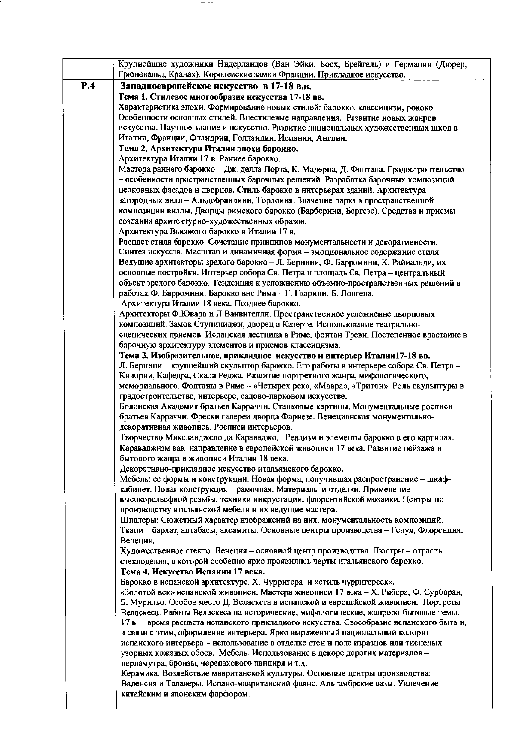|     | Крупнейшие художники Нидерландов (Ван Эйки, Босх, Брейгель) и Германии (Дюрер,<br>Грюневальд, Кранах). Королевские замки Франции. Прикладное искусство.        |
|-----|----------------------------------------------------------------------------------------------------------------------------------------------------------------|
| P.4 | Западноевропейское искусство в 17-18 в.в.                                                                                                                      |
|     | Тема 1. Стилевое многообразие искусства 17-18 вв.                                                                                                              |
|     | Характеристика эпохи. Формирование новых стилей: барокко, классицизм, рококо.                                                                                  |
|     | Особенности основных стилей. Внестилевые направления. Развитие новых жанров                                                                                    |
|     | искусства. Научное знание и нскусство. Развитие национальных художественных школ в                                                                             |
|     | Италии, Франции, Фландрии, Голландии, Испании, Англии.                                                                                                         |
|     | Тема 2. Архитектура Италии эпохи барокко.                                                                                                                      |
|     | Архитектура Италии 17 в. Раннее барокко.                                                                                                                       |
|     | Мастера раннего барокко - Дж. делла Порта, К. Мадерна, Д. Фонтана. Градостронтельство                                                                          |
|     | - особенности пространственных барочных решений. Разработка барочных композиций                                                                                |
|     | церковных фасадоа и дворцов. Стиль барокко в интерьерах зданий. Архитектура                                                                                    |
|     | загородных вилл - Альдобрандинн, Торлония. Значение парка в пространственной                                                                                   |
|     | композиции виллы. Дворцы римского барокко (Барберини, Боргезе). Средства и приемы                                                                              |
|     | создания архитектурно-художественных образов.                                                                                                                  |
|     | Архитектура Высокого барокко в Италии 17 в.                                                                                                                    |
|     | Расцвет стиля барокко. Сочетание принципов монументальности и декоративности.                                                                                  |
|     | Синтез искусств. Масштаб и динамичная форма - эмоциональное содержание стиля.                                                                                  |
|     | Ведущие архнтекторы зрелого барокко - Л. Бернини, Ф. Барромини, К. Райиальди, их                                                                               |
|     | основные постройки. Интерьер собора Св. Петра и площадь Св. Петра - центральный                                                                                |
|     | объект зрелого барокко. Тенденция к усложнению объемно-пространственных решений в<br>работах Ф. Барромини. Барокко вне Рима - Г. Гварини, Б. Лонгена.          |
|     | Архитектура Италии 18 века. Позднее барокко.                                                                                                                   |
|     | Архитекторы Ф.Ювара и Л.Ванвителли. Пространственное усложненне дворцовых                                                                                      |
|     | композиций. Замок Ступиниджи, дворец в Казерте. Использование театрально-                                                                                      |
|     | сценических приемов. Испанская лестница в Риме, фонтан Треви. Постепенное врастание в                                                                          |
|     | барочную архитектуру элементов и приемов классицизма.                                                                                                          |
|     | Тема 3. Изобразительное, прикладное искусство и интерьер Италии17-18 вв.                                                                                       |
|     | Л. Бернини - крупнейший скульптор барокко. Его работы в интерьере собора Св. Петра -                                                                           |
|     | Кивории, Кафедра, Скала Реджа. Развитие портретного жанра, мифологического,                                                                                    |
|     | мемориального. Фонтаны в Риме - «Четырех рек», «Мавра», «Тритон». Роль скульптуры в                                                                            |
|     | градостроительстве, интерьере, садово-парковом искусстве.                                                                                                      |
|     | Болонская Академия братьев Карраччи. Станковые картины. Монументальные росписи<br>братьев Карраччи. Фрески галереи дворца Фариезе. Венецианская монументально- |
|     | декоративная живопись. Росписи интерьеров.                                                                                                                     |
|     | Творчество Микеланджело да Караваджо. Реализм и элементы барокко в его картинах.                                                                               |
|     | Караваджизм как направление в европейской живописи 17 века. Развитие пейзажа и                                                                                 |
|     | бытового жанра в живописи Италии 18 века.                                                                                                                      |
|     | Декоративно-прикладное искусство итальянского барокко.                                                                                                         |
|     | Мебель: ее формы и конструкции. Новая форма, получившая распространение - шкаф-                                                                                |
|     | кабинет. Новая конструкция - рамочная. Материалы и отделки. Применение                                                                                         |
|     | высокорельефной резьбы, техники инкрустации, флорентийской мозаики. Центры по                                                                                  |
|     | производству итальянской мебели и их ведущие мастера.                                                                                                          |
|     | Шпалеры: Сюжетный характер изображеннй на них, монументальность композиций.                                                                                    |
|     | Ткани - бархат, алтабасы, аксамиты. Основные центры производства - Генуя, Флоренция,<br>Венеция.                                                               |
|     | Художественное стекло. Венеция - основной центр производства. Люстры - отрасль                                                                                 |
|     | стеклоделия, в которой особенно ярко проявилнсь черты итальянского барокко.                                                                                    |
|     | Тема 4. Искусство Испанин 17 века.                                                                                                                             |
|     | Барокко в испанской архитектуре. Х. Чурригера и «стиль чурригереск».                                                                                           |
|     | «Золотой век» испаиской живописи. Мастера живописи 17 века - Х. Рибера, Ф. Сурбаран,                                                                           |
|     | Б. Мурильо. Особое место Д. Веласкеса в испанской и европейской живописи. Портреты                                                                             |
|     | Веласкеса. Работы Веласкеса на исторические, мифологические, жанрово-бытовые темы.                                                                             |
|     | 17 в. - время расцвета испанского прикладиого искусства. Своеобразие испанского быта и,                                                                        |
|     | в связи с этим, оформление интерьера. Ярко выраженный национальный колорит                                                                                     |
|     | испанского интерьера - использование в отделке стен и пола изразцов или тисненых<br>узорных кожаных обоев. Мебель. Использование в декоре дорогих материалов - |
|     | перламутра, бронзы, черепахового панциря и т.д.                                                                                                                |
|     | Керамика. Воздействие мавританской культуры. Основные центры производства:                                                                                     |
|     | Валенсия и Талаверы. Испано-мавритаиский фаянс. Альгамбрские вазы. Увлечение                                                                                   |
|     | китайским и японским фарфором.                                                                                                                                 |
|     |                                                                                                                                                                |

 $\sim$   $\sim$   $\sim$   $\sim$ 

 $\cdot$ 

 $\sim$ 

 $\sim$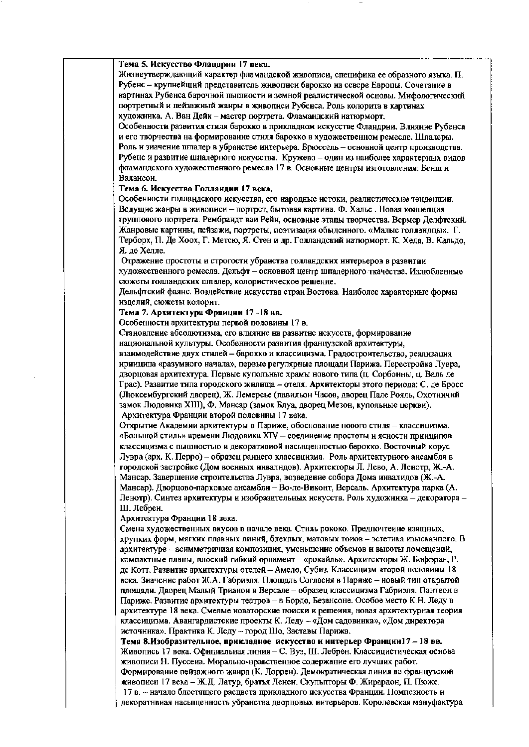| Тема 5. Искусство Фландрии 17 века.                                                     |
|-----------------------------------------------------------------------------------------|
| Жизнеутверждающий характер фламандской живописи, специфика ее образного языка. П.       |
| Рубенс - крупнейший представитель живописи барокко на севере Европы. Сочетание в        |
| картинах Рубенса барочной пышности и земной реалистической основы. Мифологический       |
| портретный и пейзажный жанры в живописи Рубенса. Роль колорита в картинах               |
| художника. А. Ван Дейк - мастер портрета. Фламандский иатюрморт.                        |
| Особенности развития стиля барокко в прикладном искусстве Фландрии. Влияние Рубенса     |
| и его творчества на формирование стиля барокко в художественном ремесле. Шпалеры.       |
| Роль и зиачение шпалер в убранстве интерьера. Брюссель - основной центр нроизводства.   |
| Рубенс и развитие шпалерного искусства. Кружево - один из наиболее характерных видов    |
| фламандского художественного ремесла 17 в. Основные центры изготовления: Бенш и         |
| Валансои.                                                                               |
|                                                                                         |
| Тема 6. Искусство Голландии 17 века.                                                    |
| Особенности голландского искусства, его народные истоки, реалистические тенденции.      |
| Ведущие жанры в живописи - портрет, бытовая картина. Ф. Хальс. Новая концепция          |
| группового портрета. Рембрандт ваи Рейн, основные этапы творчества. Вермер Делфтский.   |
| Жанровые картины, пейзажи, портреты, поэтизация обыденного. «Малые голландцы». Г.       |
| Терборх, П. Де Хоох, Г. Метсю, Я. Стен и др. Голландский натюрморт. К. Хеда, В. Кальдо, |
| Я. де Хелле.                                                                            |
| Отражение простоты и строгости убраиства голландских интерьеров в развитии              |
| художественного ремесла. Дельфт - основной центр шпалерного ткачества. Излюбленные      |
| сюжеты голландских шпалер, колористическое решение.                                     |
| Дельфтский фаянс. Воздействие искусства стран Востока. Наиболее характерные формы       |
| изделий, сюжеты колорит.                                                                |
| Тема 7. Архитектура Франции 17 -18 вв.                                                  |
| Особенности архитектуры первой половины 17 в.                                           |
| Становление абсолютизма, его влияние на развитие искусств, формирование                 |
| национальной культуры. Особенности развития французской архитектуры,                    |
| взанмодействие двух стилей - барокко и классицизма. Градостроительство, реализация      |
| иринципа «разумного начала», первые регулярные площади Парижа. Перестройка Лувра,       |
| дворцовая архитектура. Первые купольные храмы нового типа (ц. Сорбонны, ц. Валь де      |
| Грас). Развитие типа городского жилища - отеля. Архитекторы этого периода: С. де Бросс  |
| (Люксембургский дворец), Ж. Лемерсье (павильон Часов, дворец Пале Рояль, Охотничий      |
| замок Людовнка XIII), Ф. Мансар (замок Блуа, дворец Мезон, купольные церкви).           |
| Архитектура Франции второй половнны 17 века.                                            |
| Открытие Академии архитектуры в Париже, обоснование нового стиля - классицизма.         |
| «Большой стиль» времени Людовика XIV - соединение простоты и ясности принципов          |
| классицизма с пышностью и декоративной насыщенностью барокко. Восточный корус           |
| Лувра (арх. К. Перро) – образец раннего классицизма. Роль архитектурного ансамбля в     |
| городской застройке (Дом военных инвалндов). Архитекторы Л. Лево, А. Ленотр, Ж.-А.      |
| Мансар. Завершение строительства Лувра, возведение собора Дома инвалидов (Ж.-А.         |
| Мансар). Дворцово-парковые ансамбли - Во-ле-Виконт, Версаль. Архитектура парка (А.      |
| Ленотр). Синтез архитектуры и изобразительных искусств. Роль художника - декоратора -   |
| Ш. Лебреи.                                                                              |
| Архитектура Франции 18 века.                                                            |
| Смена художественных вкусов в начале века. Стиль рококо. Предпочтение изящных,          |
| хрупких форм, мягких плавных линий, блеклых, матовых тонов - эстетика изысканного. В    |
| архитектуре - асимметричиая композиция, уменьшение объемов и высоты помещений,          |
| компактные планы, плоский гибкий орнамеит - «рокайль». Архитекторы Ж. Боффран, Р.       |
| де Котт. Развитие архитектуры отелей - Амело, Субиз. Классицизм второй половины 18      |
| века. Значение работ Ж.А. Габриэля. Площадь Согласия в Париже - новый тип открытой      |
| площади. Дворец Малый Трианон в Версале - образец классицизма Габриэля. Пантеон в       |
| Париже. Развитие архитектуры театров - в Бордо, Безансоне. Особое место К.Н. Леду в     |
| архитектуре 18 века. Смелые новаторские поиски и решения, новая архитектурная теория    |
| классицизма. Авангардистские проекты К. Леду - «Дом садовника», «Дом директора          |
| источника». Практика К. Леду - город Шо, Заставы Парижа.                                |
| Тема 8.Изобразительное, прикладное искусство и интерьер Франции17 - 18 вв.              |
| Живопись 17 века. Официальная линия - С. Вуэ, Ш. Лебрен. Классицистическая основа       |
| живописи Н. Пуссена. Морально-нравственное содержание его лучших работ.                 |
| Формирование пейзажного жвнра (К. Лоррен). Демократическая линия во французской         |
| живописи 17 века - Ж.Д. Латур, братья Ленеи. Скульпторы Ф. Жирардон, П. Пюже.           |
|                                                                                         |

17 в. - начало блестящего расцвета прикладного искусства Франции. Помпезность и декоратными насыщенность убранства дворцовых интерьеров. Королевская мануфактура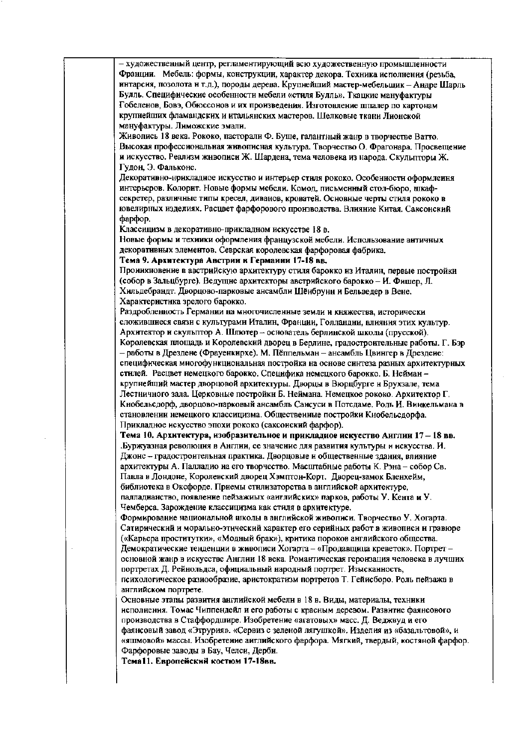- художественный центр, регламентирующий всю художественную промышленности Франции. Мебель: формы, конструкции, характер декора. Техника исполнения (резьба, интарсия, позолота н т.д.), породы дерева. Крупнейший мастер-мебельшик - Андре Шарль Булль. Специфические особенности мебели «стиля Булль». Ткацкие мануфактуры Гобеленов, Бовэ, Обюссонов и их произведения. Изготовление шпалер по картонам крупнейших фламандских и итальянских мастеров. Шелковые ткани Лионской мануфактуры. Лиможские эмали. Живопись 18 века. Рококо, пасторали Ф. Буше, галантный жанр в творчестве Ватто. Высокая профессиональная живописная культура. Творчество О. Фрагонара. Просвещение и искусство. Реализм жнвописи Ж. Шардена, тема человека из народа. Скульпторы Ж. Гудон. Э. Фальконе. Декоративно-нрикладное искусство и интерьер стиля рококо. Особенности оформлеиня интерьеров. Колорит. Новые формы мебели. Комод, письменный стол-бюро, шкафсекретер, различные типы кресел, диванов, кроватей. Основные черты стиля рококо в ювелирных изделиях. Расцвет фарфорового производства. Влияние Китая. Саксонский dapdop. Классицизм в декоративно-прикладном искусстве 18 в. Новые формы и техники оформления французской мебели. Использование античных декоративных элементов. Севрская королевская фарфоровая фабрика. Тема 9. Архитектура Австрии и Германии 17-18 вв. Проинкновение в австрийскую архитектуру стиля барокко из Италин, первые постройки (собор в Зальцбурге). Ведущие архитекторы австрийского барокко - И. Фишер, Л. Хильдебрандт. Дворцово-парковые ансамбли Шёнбрунн и Бельведер в Вене. Характеристика зрелого барокко. Раздробленность Германии на многочисленные земли и княжества, исторически сложившиеся связи с культурами Италин, Франции, Голландни, влияния этих культур. Архитектор и скульптор А. Шлютер - основатель берлинской школы (прусской). Королевская площадь и Королевский дворец в Берлине, градостроительные работы. Г. Бэр – работы в Дрездене (Фрауенкирхе). М. Пёппельман – ансамбль Цвингер в Дрездене: специфическая многофункциональная постройка на основе синтеза разных архитектурных стилей. Расцвет немецкого барокко. Специфика немецкого барокко. Б. Нейманкрупнейший мастер дворцовой архитектуры. Дворцы в Вюрцбурге и Брухзале, тема Лестничного зала. Церковные постройки Б. Неймана. Немецкое рококо. Архитектор Г. Кнобельсдорф, дворцово-парковый ансамбль Сансуси в Потедаме. Родь И. Вникельмана в становлении немецкого классицизма. Общественные постройки Кнобельсдорфа. Прикладное искусство эпохи рококо (саксоиский фарфор). Тема 10. Архитектура, изобразительное и прикладное искусство Англии 17 - 18 вв. Буржуазная революция в Англии, ее значение для развития культуры и искусства. И. Джонс - градостроительная практика. Дворцовые и общественные здания, влияние архитектуры А. Паллалио на его творчество. Масштабные работы К. Рэна - собор Св. Павла в Лондоне, Королевский дворец Хэмптон-Корт. Дворец-замок Бленхейм. библиотека в Оксфорде. Приемы стилизаторства в английской архитектуре, палладианство, появление пейзажиых «аиглийских» парков, работы У. Кента и У. Чемберса. Зарождение классицизма как стиля в архитектуре. Формирование национальной школы в английской живописи. Творчество У. Хогарта. Сатирический и морально-этический характер его серийных работ в живописи и гравюре («Карьера проститутки», «Модный брак»), критика пороков английского общества. Демократические тенденции в живописи Хогарта - «Продавщица креветок». Портрет основной жанр в искусстве Англии 18 века. Романтическая героизация человека в лучших портретах Д. Рейнольдса, официальный народный портрет. Изысканность, психологическое разнообразие, аристократизм портретов Т. Гейнсборо. Роль пейзажа в английском портрете. Основные этапы развития английской мебели в 18 в. Виды, материалы, техники исполнения. Томас Чиппендейл и его работы с красным деревом. Развитие фаянсового производства в Стаффордшире. Изобретение «агатовых» масс. Д. Веджвуд и его фаянсовый завод «Этрурия». «Сервиз с зеленой лягушкой». Изделия из «базальтовой», и «яшмовой» массы. Изобретение английского фарфора. Мягкий, твердый, костяной фарфор. Фарфоровые заводы в Бау, Челси, Дерби. Тема11. Европейский костюм 17-18вв.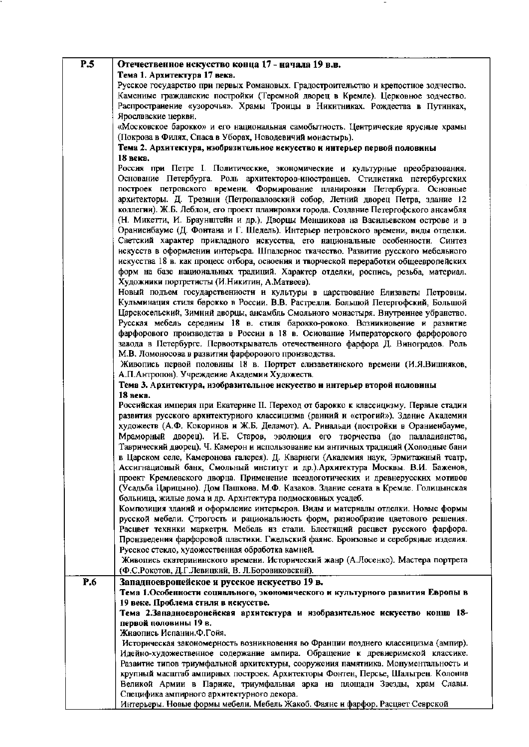| P.5 | Отечественное искусство конца 17 - начала 19 в.в.                                                                                     |
|-----|---------------------------------------------------------------------------------------------------------------------------------------|
|     | Тема 1. Архитектура 17 века.                                                                                                          |
|     | Русское государство при первых Романовых. Градостроительство и крепостное зодчество.                                                  |
|     | Каменные гражданские постройки (Теремной дворец в Кремле). Церковное зодчество.                                                       |
|     | Распространение «узорочья». Храмы Тронцы в Никитниках. Рождества в Путинках,                                                          |
|     | Ярослввские церкви.                                                                                                                   |
|     | «Московское барокко» и его национальная самобытность. Цеитрические ярусные храмы                                                      |
|     | (Покрова в Филях, Спаса в Уборах, Новодевичий монастырь).                                                                             |
|     | Тема 2. Архитектура, изобразительное искусство и интерьер первой половины                                                             |
|     | 18 века.                                                                                                                              |
|     | Россия при Петре I. Политические, экономические и культурные преобразования.                                                          |
|     | Основание Петербурга. Роль архитекторов-иностранцев. Стилистика петербургских                                                         |
|     | построек петровского времени. Формирование планировки Петербурга. Основные                                                            |
|     | архитекторы. Д. Трезини (Петропавловский собор, Летний дворец Петра, здание 12                                                        |
|     | коллегии). Ж.Б. Леблон, его проект планировки города. Создание Петергофского ансамбля                                                 |
|     | (Н. Микетти, И. Браунштейн и др.). Дворцы Меншикова на Васильевском острове и в                                                       |
|     | Ораниенбауме (Д. Фонтана и Г. Шедель). Интерьер петровского времени, виды отделки.                                                    |
|     | Светский характер прикладного искусства, его национальные особенности. Синтез                                                         |
|     | искусств в оформлении интерьера. Шпалерное ткачество. Развитие русского мебельного                                                    |
|     | нскусства 18 в. как процесс отбора, освоения и творческой переработки общеевропейских                                                 |
|     | форм на базе национальных традиций. Характер отделки, роспись, резьба, материал.                                                      |
|     | Художники портретисты (И.Никитин, А.Матвеев).                                                                                         |
|     | Новый подъем государствениости и культуры в царствование Елизаветы Петровны.                                                          |
|     | Кульминация стиля барокко в России. В.В. Растрелли. Большой Петергофский, Большой                                                     |
|     | Царскосельский, Зимний дворцы, ансамбль Смольного монастыря. Внутреннее убранство.                                                    |
|     | Русская мебель середнны 18 в. стиля барокко-рококо. Возникновение и развитие                                                          |
|     | фарфорового производства в Россин в 18 в. Основание Императорского фарфорового                                                        |
|     | завода в Петербурге. Первооткрыватель отечественного фарфора Д. Виноградов. Роль                                                      |
|     | М.В. Ломоносова в развитии фарфорового производства.<br>Живопись первой половины 18 в. Портрет елизаветинского времени (И.Я.Вишняков, |
|     | А.П.Антропов). Учреждение Академии Художеств.                                                                                         |
|     | Тема 3. Архитектура, изобразительное искусство и интерьер второй половины                                                             |
|     | 18 века.                                                                                                                              |
|     | Российская империя при Екатерине II. Переход от барокко к классицизму. Первые стадин                                                  |
|     | развития русского архнтектурного классицизма (ранний и «строгий»). Здание Академин                                                    |
|     | художеств (А.Ф. Кокоринов и Ж.Б. Деламот). А. Ринальди (постройки в Ораниенбауме,                                                     |
|     | Мраморный дворец). И.Е. Старов, эволюция его творчества (до палладианства,                                                            |
|     | Таврический даорец). Ч. Камерон и использование им античных традиций (Холодные бани                                                   |
|     | в Царском селе, Камеронова галерея). Д. Кварнеги (Академия наук, Эрмитажный театр,                                                    |
|     | Ассигнационый банк, Смольный институт и др.). Архитектура Москвы. В.И. Баженов,                                                       |
|     | проект Кремлевского дворца. Применение псевдоготических и древнерусских мотивов                                                       |
|     | (Усадьба Царицыно). Дом Пашкова. М.Ф. Казаков. Здание сената в Кремле. Голицынская                                                    |
|     | больница, жилые дома и др. Архнтектура подмосковных усадеб.                                                                           |
|     | Композиция зданий и оформление интерьеров. Виды и материалы отделки. Новые формы                                                      |
|     | русской мебели. Строгость и рациональность форм, разнообразие цветового решения.                                                      |
|     | Расцвет техники маркетри. Мебель из стали. Блестящий расцвет русского фарфора.                                                        |
|     | Произведения фарфоровой пластики. Гжельский фаянс. Бронзовые и серебряные изделия.                                                    |
|     | Русское стекло, художественная обработка камней.                                                                                      |
|     | Живопись екатерининского времени. Исторический жанр (А.Лосенко). Мастера портрета                                                     |
|     | (Ф.С.Рокотов, Д.Г.Левицкий, В. Л.Боровиковский).                                                                                      |
| P.6 | Западноевропейское и русское искусство 19 в.<br>Тема 1. Особенности социального, экономического и культурного развития Европы в       |
|     | 19 веке. Проблема стиля в искусстве.                                                                                                  |
|     | Тема 2.Западноевронейская архитектура и изобразительное искусство конца 18-                                                           |
|     | первой половины 19 в.                                                                                                                 |
|     | Живопись Испании.Ф.Гойя.                                                                                                              |
|     | Историческая закономерность возникновения во Франции позднего классицизма (ампир).                                                    |
|     | Идейно-художественное содержание ампира. Обращение к древиеримской классике.                                                          |
|     | Разаитие типов триумфальной архитектуры, сооружения памятника. Монументальность и                                                     |
|     | крупный масштаб ампирных построек. Архитекторы Фонтен, Персье, Шальгрен. Колонна                                                      |
|     | Великой Армии в Париже, триумфальная арка на площади Звезды, храм Славы.                                                              |
|     | Специфика ампирного архитектурного декора.                                                                                            |
|     | Интерьеры. Новые формы мебели. Мебель Жакоб. Фаянс и фарфор. Расцвет Севрской                                                         |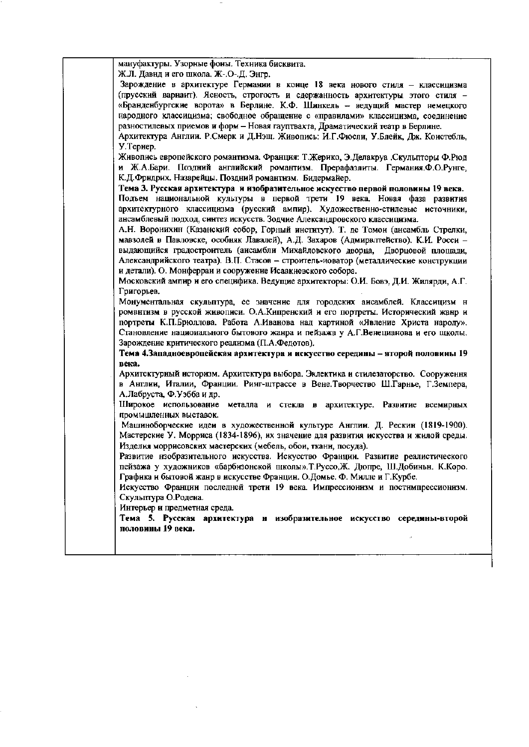| мануфактуры. Узорные фоны. Техника бисквита.                                         |
|--------------------------------------------------------------------------------------|
| Ж.Л. Давид и его школа. Ж-.О-.Д. Энгр.                                               |
| Зарождение в архитектуре Германии в конце 18 века нового стиля - классицизма         |
| (прусский вариант). Ясность, строгость и сдержанность архитектуры этого стиля -      |
| «Бранденбургские ворота» в Берлине. К.Ф. Шинкель - ведущий мастер немецкого          |
| народного классицизма; свободное обращение с «правилами» классицизма, соединение     |
| разностилевых приемов и форм - Новая гауптвахта, Драматический театр в Берлине.      |
| Архитектура Англии. Р.Смерк и Д.Нэш. Живопись: И.Г.Фюсли, У.Блейк, Дж. Коистебль,    |
| У. Тернер.                                                                           |
| Живопись европейского романтизма. Франция: Т.Жерико, Э.Делакруа .Скульпторы Ф.Рюд    |
| и Ж.А.Бари. Поздний английский романтизм. Прерафаэлиты. Германия. Ф.О.Рунге,         |
| К.Д. Фрндрих. Назарейцы. Поздний романтизм. Бидермайер.                              |
| Тема 3. Русская архитектура и изобразительное искусство первой половины 19 века.     |
| Подъем национальной культуры в первой трети 19 века. Новая фаза развития             |
| архитектурного классицизма (русский ампир). Художественно-стилевые источники,        |
| ансамблевый подход, синтез искусств. Зодчие Александровского классицизма.            |
| А.Н. Воронихин (Казанский собор, Горный институт). Т. де Томои (ансамбль Стрелки,    |
| мавзолей в Павловске, особняк Лавалей), А.Д. Захаров (Адмирвлтейство). К.И. Росси -  |
| выдающийся градостроитель (ансамбли Михайловского дворца, Дворцовой площади,         |
|                                                                                      |
| Александрийского театра). В.П. Стасов - строитель-новатор (металлические конструкции |
| и детали). О. Монферран и сооружение Исаакиевского собора.                           |
| Московский ампир и его специфика. Ведущие архитекторы: О.И. Бовэ, Д.И. Жилярди, А.Г. |
| Григорьев.                                                                           |
| Монументальная скульптура, ее значение для городских ансамблей. Классицизм н         |
| романтизм в русской живописи. О.А.Кипренский и его портреты. Исторический жанр и     |
| портреты К.П.Брюллова. Работа А.Иванова над картиной «Явление Христа народу».        |
| Становление национального бытового жанра и пейзажа у А.Г.Венецианова и его школы.    |
| Зарождение критического реализма (П.А.Федотов).                                      |
| Тема 4. Западноевропейская архитектура и искусство середины - второй половины 19     |
| века.                                                                                |
| Архитектурный историзм. Архитектура выбора. Эклектика и стилезаторство. Сооруження   |
| в Англии, Италии, Франции. Ринг-штрассе в Вене. Творчество Ш. Гарнье, Г. Земпера,    |
| А.Лабруста, Ф.Уэбба и др.                                                            |
| Широкое использование металла и стекла в архитектуре. Развитие всемирных             |
| промышленных выставок.                                                               |
| Машнноборческие идеи в художественной культуре Англии. Д. Рескин (1819-1900).        |
| Мастерские У. Морриса (1834-1896), их значение для развития искусства и жилой среды. |
| Изделия моррисовских мастерских (мебель, обои, тканн, посуда).                       |
| Развитие изобразительного искусства. Искусство Франции. Развитие реалистического     |
| пейзажа у художников «барбизонской щколы». Т. Руссо, Ж. Дюпре, Ш. Добиньн. К. Коро.  |
| Графика и бытовой жанр в искусстве Францин. О.Домье. Ф. Милле и Г.Курбе.             |
| Искусство Франции последней трети 19 века. Импрессионизм и постимпрессионизм.        |
| Скульптура О.Родена.                                                                 |
| Интерьер и предметная среда.                                                         |
| Тема 5. Русская архитектура и изобразительное искусство середины-второй              |
| половины 19 века.                                                                    |
|                                                                                      |
|                                                                                      |
|                                                                                      |

 $\hat{\boldsymbol{\theta}}$ 

 $\hat{\boldsymbol{\gamma}}$ 

 $\mathcal{L}=\mathcal{L}$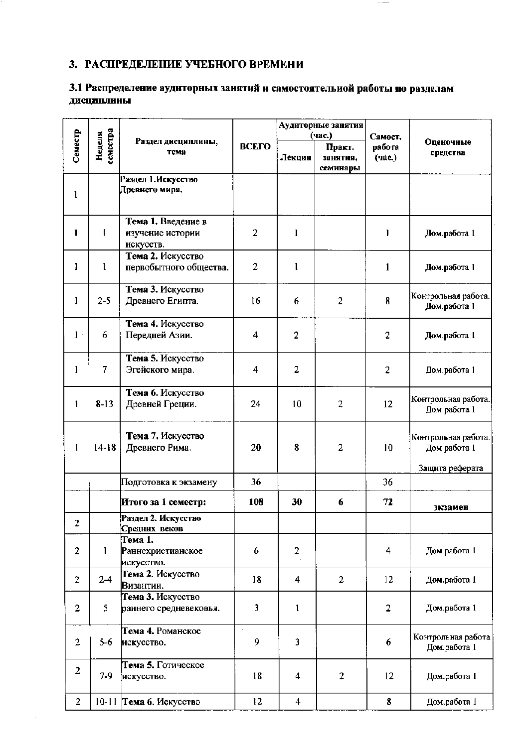# 3. РАСПРЕДЕЛЕНИЕ УЧЕБНОГО ВРЕМЕНИ

# 3.1 Распределение аудиторных занятий и самостоятельной работы по разделам дисциплины

 $\cdots$  —-

|                |                    |                                                     |                |                  | Аудиторные занятия                       |                             |                                                        |
|----------------|--------------------|-----------------------------------------------------|----------------|------------------|------------------------------------------|-----------------------------|--------------------------------------------------------|
| Семестр        | семестра<br>Неделя | Раздел дисциплины,<br>тема                          | ВСЕГО          | Лекции           | (час.)<br>Практ.<br>занятия,<br>семинары | Самост.<br>работа<br>(час.) | Оценочные<br>средства                                  |
| $\mathbf{1}$   |                    | Раздел 1. Искусство<br>Древнего мира.               |                |                  |                                          |                             |                                                        |
| 1              | I                  | Тема 1. Введение в<br>изучение истории<br>искусств. | $\overline{2}$ | $\mathbf{1}$     |                                          | 1                           | Дом.работа 1                                           |
| 1              | $\mathbf{1}$       | Тема 2. Искусство<br>первобытного общества.         | $\overline{2}$ | $\mathbf{I}$     |                                          | 1                           | Дом.работа 1                                           |
| 1              | $2 - 5$            | Тема 3. Искусство<br>Древнего Египта.               | 16             | 6                | $\overline{2}$                           | $\bf{8}$                    | Контрольная работа.<br>Дом.работа 1                    |
| $1\,$          | 6                  | Тема 4. Искусство<br>Передней Азии.                 | 4              | $\mathbf{2}$     |                                          | $\overline{2}$              | Дом.работа 1                                           |
| $\mathbf{I}$   | 7                  | Тема 5. Искусство<br>Эгейского мира.                | 4              | $\overline{c}$   |                                          | $\overline{2}$              | Дом.работа 1                                           |
| 1              | $8-13$             | Тема 6. Искусство<br>Древней Греции.                | 24             | 10               | 2                                        | 12                          | Контрольная работа.<br>Дом.работа 1                    |
| 1              | $14-18$            | Тема 7. Искусство<br>Древнего Рима.                 | 20             | 8                | 2                                        | 10                          | Контрольная работа.<br>Дом.работа 1<br>Защита реферата |
|                |                    | Подготовка к экзамену                               | 36             |                  |                                          | 36                          |                                                        |
|                |                    | Итого за 1 семестр:                                 | 108            | 30               | 6                                        | 72                          | экзамен                                                |
| $\overline{2}$ |                    | Раздел 2. Искусство<br>Средних веков                |                |                  |                                          |                             |                                                        |
| $\overline{c}$ | $\mathbf{1}$       | Тема 1.<br><b>Раннехристианское</b><br>искусство.   | 6              | $\boldsymbol{2}$ |                                          | 4                           | Дом.работа 1                                           |
| $\overline{2}$ | $2-4$              | Тема 2. Искусство<br>Византии.                      | 18             | 4                | $\overline{2}$                           | 12                          | Дом.работа 1                                           |
| $\overline{2}$ | 5                  | Тема 3. Искусство<br>раннего средневековья.         | 3              | 1                |                                          | 2                           | Дом.работа 1                                           |
| $\overline{2}$ | $5-6$              | Тема 4. Романское<br>искусство.                     | 9              | 3                |                                          | 6                           | Контрольная работа<br>Дом.работа 1                     |
| $\overline{2}$ | $7 - 9$            | Тема 5. Готическое<br>искусство.                    | 18             | 4                | $\overline{2}$                           | 12                          | Дом.работа I                                           |
| $\overline{2}$ |                    | 10-11 Тема 6. Искусство                             | 12             | $\overline{4}$   |                                          | 8                           | Дом.работа 1                                           |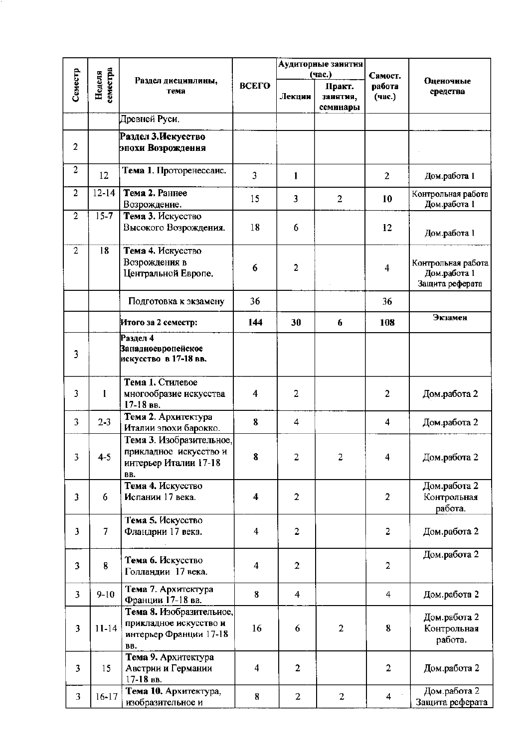|                         |                    |                                                                                     |                         |                | Аудиторные занятия             |                  |                                        |  |
|-------------------------|--------------------|-------------------------------------------------------------------------------------|-------------------------|----------------|--------------------------------|------------------|----------------------------------------|--|
|                         |                    | Раздел дисциплины,                                                                  |                         |                | (час.)                         | Самост.          | Оценочные                              |  |
| Семестр                 | земестра<br>Неделя | тема                                                                                | ВСЕГО                   | Лекции         | Практ.<br>занятия,<br>семинары | работа<br>(час.) | средства                               |  |
|                         |                    | Древней Руси.                                                                       |                         |                |                                |                  |                                        |  |
|                         |                    | Раздел 3.Искусство                                                                  |                         |                |                                |                  |                                        |  |
| $\overline{2}$          |                    | эпохи Возрождення                                                                   |                         |                |                                |                  |                                        |  |
| $\overline{2}$          | 12                 | Тема 1. Проторенессанс.                                                             | $\overline{\mathbf{3}}$ | 1              |                                | $\overline{2}$   | Дом.работа 1                           |  |
| $\overline{2}$          | $12 - 14$          | Тема 2. Раннее<br>Возрождение.                                                      | 15                      | 3              | $\overline{2}$                 | 10               | Контрольная работа<br>Дом.работа 1     |  |
| $\overline{2}$          | $15 - 7$           | Тема 3. Искусство                                                                   |                         |                |                                |                  |                                        |  |
|                         |                    | Высокого Возрождения.                                                               | 18                      | 6              |                                | 12               | Дом.работа 1                           |  |
| $\overline{2}$          | 18                 | Тема 4. Искусство<br>Возрождения в                                                  |                         |                |                                |                  | Контрольная работа                     |  |
|                         |                    | Центральной Европе.                                                                 | 6                       | $\overline{2}$ |                                | 4                | Дом.работа 1<br>Защита реферата        |  |
|                         |                    | Подготовка к экзамену                                                               | 36                      |                |                                | 36               |                                        |  |
|                         |                    | Итого за 2 семестр:                                                                 | 144                     | 30             | 6                              | 108              | Экзамен                                |  |
| 3                       |                    | Раздел 4<br><b>Западноевропейское</b><br>искусство в 17-18 вв.                      |                         |                |                                |                  |                                        |  |
| 3                       | 1                  | Тема 1. Стилевое<br>многообразие искусства<br>$17-18$ BB.                           | $\overline{\mathbf{4}}$ | $\overline{2}$ |                                | $\overline{2}$   | Дом.работа 2                           |  |
| 3                       | $2 - 3$            | Тема 2. Архитектура<br>Италии эпохи барокко.                                        | 8                       | 4              |                                | 4                | Дом.работа 2                           |  |
| 3                       | 4-5                | Тема 3. Изобразительное,<br>прикладное искусство и<br>интерьер Италии 17-18<br>BB.  | 8                       | 2              | 2                              | 4                | Дом.работа 2                           |  |
| 3                       | 6                  | Тема 4. Искусство<br>Испании 17 века.                                               | 4                       | $\overline{2}$ |                                | $\overline{2}$   | Дом.работа 2<br>Контрольная<br>работа. |  |
| 3                       | $\overline{7}$     | Тема 5. Искусство<br>Фландрии 17 века.                                              | $\overline{\mathbf{4}}$ | $\overline{2}$ |                                | $\overline{c}$   | Дом.работа 2                           |  |
| 3                       | 8                  | Тема 6. Искусство<br>Голландии 17 века.                                             | 4                       | $\overline{2}$ |                                | $\overline{2}$   | Дом.работа 2                           |  |
| 3                       | $9 - 10$           | Тема 7. Архитектура<br>Франции 17-18 вв.                                            | 8                       | 4              |                                | 4                | Дом.работа 2                           |  |
| 3                       | $11 - 14$          | Тема 8. Изобразительное,<br>прикладное искусство и<br>интерьер Франции 17-18<br>BB. | 16                      | 6              | $\overline{2}$                 | 8                | Дом.работа 2<br>Контрольная<br>работа. |  |
| $\overline{\mathbf{3}}$ | 15                 | Тема 9. Архитектура<br>Австрии и Германии<br>17-18 вв.                              | 4                       | $\overline{2}$ |                                | $\overline{2}$   | Дом.работа 2                           |  |
| 3                       | $16 - 17$          | Тема 10. Архитектура,<br>изобразительное и                                          | 8                       | 2              | $\overline{2}$                 | 4                | Дом.работа 2<br>Защита реферата        |  |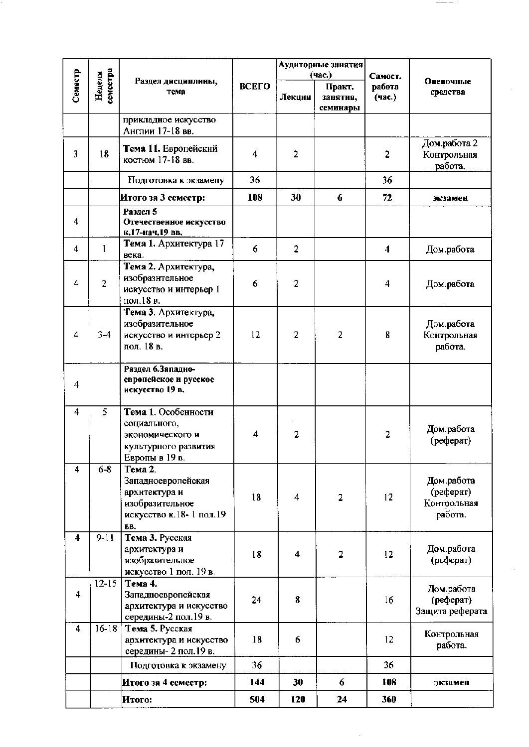|                         |                   |                                                                                                     |                     |                | Аудиторные занятия   |                         |                                                   |
|-------------------------|-------------------|-----------------------------------------------------------------------------------------------------|---------------------|----------------|----------------------|-------------------------|---------------------------------------------------|
| Семестр                 | еместра<br>Неделя | Раздел дисциплины,                                                                                  | ВСЕГО               |                | (час.)<br>Практ.     | Самост.<br>работа       | Оценочные                                         |
|                         |                   | тема                                                                                                |                     | Лекции         | занятия,<br>семинары | (час.)                  | средства                                          |
|                         |                   | прикладное искусство<br>Англии 17-18 вв.                                                            |                     |                |                      |                         |                                                   |
| 3                       | 18                | Тема 11. Европейский<br>костюм 17-18 вв.                                                            | 4                   | $\overline{2}$ |                      | $\overline{2}$          | Дом.работа 2<br>Контрольная<br>работа.            |
|                         |                   | Подготовка к экзамену                                                                               | 36                  |                |                      | 36                      |                                                   |
|                         |                   | Итого за 3 семестр:                                                                                 | 108                 | 30             | 6                    | 72                      | экзамен                                           |
| 4                       |                   | Раздел 5<br>Отечественное искусство<br>к.17-нач.19 вв.                                              |                     |                |                      |                         |                                                   |
| $\overline{\bf{4}}$     | $\mathbf{1}$      | Тема 1. Архитектура 17<br>века.                                                                     | 6                   | $\overline{2}$ |                      | $\overline{\mathbf{4}}$ | Дом.работа                                        |
| $\overline{4}$          | $\overline{2}$    | Тема 2. Архитектура,<br>изобразительное<br>искусство и интерьер 1<br>пол.18 в.                      | 6                   | $\overline{2}$ |                      | 4                       | Дом.работа                                        |
| 4                       | $3-4$             | Тема 3. Архитектура,<br>изобразительное<br>искусство и интерьер 2<br>пол. 18 в.                     | 12                  | 2              | 2                    | 8                       | Дом.работа<br>Контрольная<br>работа.              |
| 4                       |                   | Раздел 6.Западно-<br>европейское и русское<br>искусство 19 в.                                       |                     |                |                      |                         |                                                   |
| 4                       | 5                 | Тема 1. Особенности<br>социального,<br>экономического и<br>культурного развития<br>Европы в 19 в.   | $\overline{\bf{4}}$ | $\overline{2}$ |                      | $\overline{2}$          | Дом.работа<br>(реферат)                           |
| 4                       | $6-8$             | Тема 2.<br>Западноевропейская<br>архитектура и<br>изобразительное<br>искусство к.18-1 пол.19<br>BB. | 18                  | 4              | 2                    | 12                      | Дом.работа<br>(реферат)<br>Контрольная<br>работа. |
| $\overline{\mathbf{4}}$ | $9 - 11$          | Тема 3. Русская<br>архитектура и<br>изобразительное<br>искусство 1 пол. 19 в.                       | 18                  | 4              | 2                    | 12                      | Дом.работа<br>(реферат)                           |
| $\overline{\mathbf{4}}$ | $12 - 15$         | Тема 4.<br>Западноевропейская<br>архитектура и искусство<br>середины-2 пол.19 в.                    | 24                  | 8              |                      | 16                      | Дом.работа<br>(реферат)<br>Защита реферата        |
| $\overline{4}$          | $16-18$           | Тема 5. Русская<br>архитектура и искусство<br>середины- 2 пол. 19 в.                                | 18                  | 6              |                      | 12                      | Контрольная<br>работа.                            |
|                         |                   | Подготовка к экзамену                                                                               | 36                  |                |                      | 36                      |                                                   |
|                         |                   | Итого за 4 семестр:                                                                                 | 144                 | 30             | 6                    | 108                     | экзамен                                           |
|                         |                   | Итого:                                                                                              | 504                 | 120            | 24                   | 360                     |                                                   |

 $\overline{\phantom{m}}$  .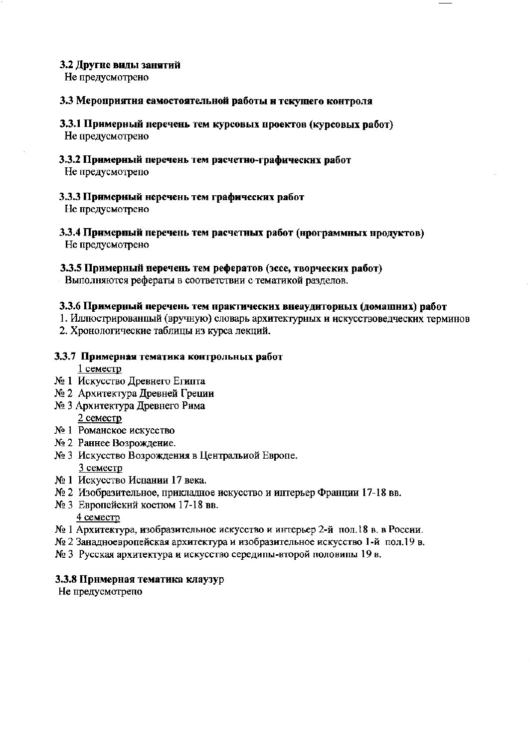## 3.2 Другие виды занятий

Не предусмотрено

#### 3.3 Мероприятия самостоятельной работы и текущего контроля

- 3.3.1 Примерный перечень тем курсовых проектов (курсовых работ) Не предусмотрено
- 3.3.2 Примерный перечень тем расчетно-графических работ

Не предусмотрепо

3.3.3 Примерный неречень тем графических работ

Не предусмотрено

3.3.4 Примерный перечень тем расчетных работ (нрограммных продуктов) Не предусмотрено

## 3.3.5 Примерный перечень тем рефератов (эссе, творческих работ)

Выполняются рефераты в соответствии с тематикой разделов.

## 3.3.6 Примерный перечень тем практических внеаудиторных (домашних) работ

- 1. Иллюстрированный (вручную) словарь архитектурных и искусствоведческих терминов
- 2. Хронологические таблицы из курса лекций.

# 3.3.7 Примерная тематика контрольных работ

1 семестр

- № 1 Искусство Древнего Египта
- № 2 Архитектура Древней Греции
- № 3 Архитектура Древнего Рима 2 семестр
- № 1 Романское искусство
- № 2 Раннее Возрождение.
- № 3 Искусство Возрождения в Центральиой Европе. 3 семестр
- № 1 Искусство Испании 17 века.
- № 2 Изобразительное, прикладное искусство и интерьер Франции 17-18 вв.
- № 3 Европейский костюм 17-18 вв. 4 семестр
- № 1 Архитектура, изобразительное искусство и интерьер 2-й пол.18 в. в России.
- № 2 Занадноевропейская архитектура и изобразительное искусство 1-й пол.19 в.
- № 3 Русская архитектура и искусство середины-второй половины 19 в.

#### 3.3.8 Примерная тематика клаузур

Не предусмотрепо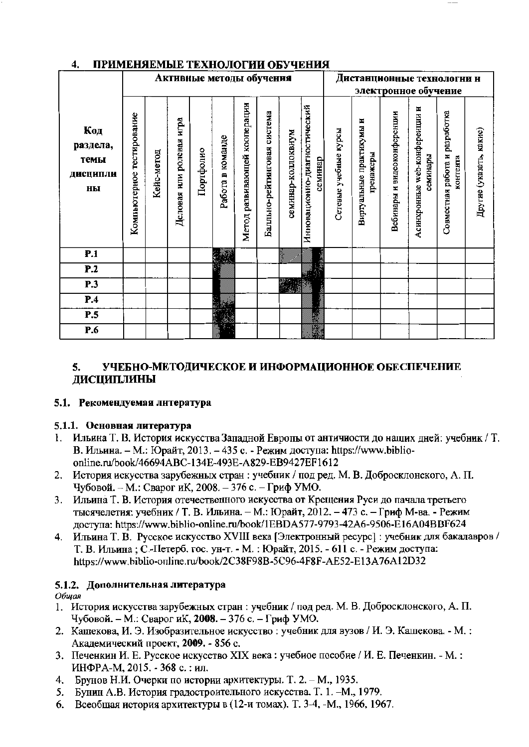| -۰                                        | пи ин <u>те</u> ниентин<br>TERTION OF HIT ARM<br>-------<br>Активные методы обучения<br>Дистанционные технологни н |            |                          |           |                  |                              |                             |                    |                                         |                       |                                       |                             |                                           |                                            |                         |
|-------------------------------------------|--------------------------------------------------------------------------------------------------------------------|------------|--------------------------|-----------|------------------|------------------------------|-----------------------------|--------------------|-----------------------------------------|-----------------------|---------------------------------------|-----------------------------|-------------------------------------------|--------------------------------------------|-------------------------|
|                                           |                                                                                                                    |            |                          |           |                  |                              |                             |                    |                                         |                       |                                       |                             |                                           |                                            |                         |
|                                           |                                                                                                                    |            |                          |           |                  |                              |                             |                    |                                         |                       |                                       |                             | электронное обучение                      |                                            |                         |
| Код<br>раздела,<br>темы<br>ДИСЦИПЛИ<br>ны | Компьютерное тестирование                                                                                          | Кейс-метод | Деловая или ролевая игра | Портфолио | Работа в команде | Метод развивающей кооперации | Балльно-рейтинговая система | семинар-коллоквиум | Инновационно-диагностический<br>семинар | Сетевые учебные курсы | Виртуальные практикумы и<br>гренажеры | Вебинары и видеоконференции | Асинхронные web-конфереиции и<br>семинары | Совместная работа и разработка<br>контента | Другие (указать, какие) |
| P.1                                       |                                                                                                                    |            |                          |           |                  |                              |                             | ÷                  |                                         |                       |                                       |                             |                                           |                                            |                         |
| P.2                                       |                                                                                                                    |            |                          |           |                  |                              |                             |                    |                                         |                       |                                       |                             |                                           |                                            |                         |
| P.3                                       |                                                                                                                    |            |                          |           |                  |                              |                             |                    |                                         |                       |                                       |                             |                                           |                                            |                         |
| P.4                                       |                                                                                                                    |            |                          |           |                  |                              |                             |                    |                                         |                       |                                       |                             |                                           |                                            |                         |
| P.5                                       |                                                                                                                    |            |                          |           |                  |                              |                             |                    |                                         |                       |                                       |                             |                                           |                                            |                         |
| P.6                                       |                                                                                                                    |            |                          |           |                  |                              |                             |                    | 联合                                      |                       |                                       |                             |                                           |                                            |                         |

#### ПРИМЕНЯЕМЫЕ ТЕХНОЛОГИИ ОБУЧЕНИЯ  $\overline{A}$

#### 5. УЧЕБНО-МЕТОДИЧЕСКОЕ И ИНФОРМАЦИОННОЕ ОБЕСПЕЧЕНИЕ ДИСЦИПЛИНЫ

#### 5.1. Рекомендуемая литература

#### 5.1.1. Основная литература

- Ильина Т. В. История искусства Западной Европы от античности до наших дней: учебник / Т. В. Ильина. - М.: Юрайт, 2013. - 435 с. - Режим доступа: https://www.biblioonline.ru/book/46694ABC-134E-493E-A829-EB9427EF1612
- 2. История искусства зарубежных стран: учебник / под ред. М. В. Добросклонского, А. П. Чубовой. - М.: Сварог иК, 2008. - 376 с. - Гриф УМО.
- 3. Ильина Т. В. История отечественного искусства от Крещения Руси до пачала третьего тысячелетия: учебник / Т. В. Ильина. - М.: Юрайт, 2012. - 473 с. - Гриф М-ва. - Режим доступа: https://www.biblio-online.ru/book/1EBDA577-9793-42A6-9506-E16A04BBF624
- 4. Ильина Т. В. Русское искусство XVIII века [Электронный ресурс] : учебник для бакалавров / Т. В. Ильина; С.-Петерб. гос. ун-т. - М.: Юрайт, 2015. - 611 с. - Режим доступа: https://www.biblio-online.ru/book/2C38F98B-5C96-4F8F-AE52-E13A76A12D32

# 5.1.2. Дополнительная литература

Общая

- 1. История искусства зарубежных стран: учебник / под ред. М. В. Добросклонского, А. П. Чубовой. - М.: Сварог иК, 2008. - 376 с. - Гриф УМО.
- 2. Кашекова, И. Э. Изобразительное искусство: учебник для вузов / И. Э. Кашекова. М.: Академический проект, 2009. - 856 с.
- 3. Печенкин И. Е. Русское искусство XIX века: учебиое пособие / И. Е. Печенкин. М.: ИНФРА-М. 2015. - 368 с. : ил.
- 4. Брунов Н.И. Очерки по истории архитектуры. Т. 2. М., 1935.
- 5. Бунин А.В. История градостроительного искусства. Т. 1. М., 1979.
- Всеобщая история архитектуры в (12-и томах). Т. 3-4, -М., 1966, 1967. 6.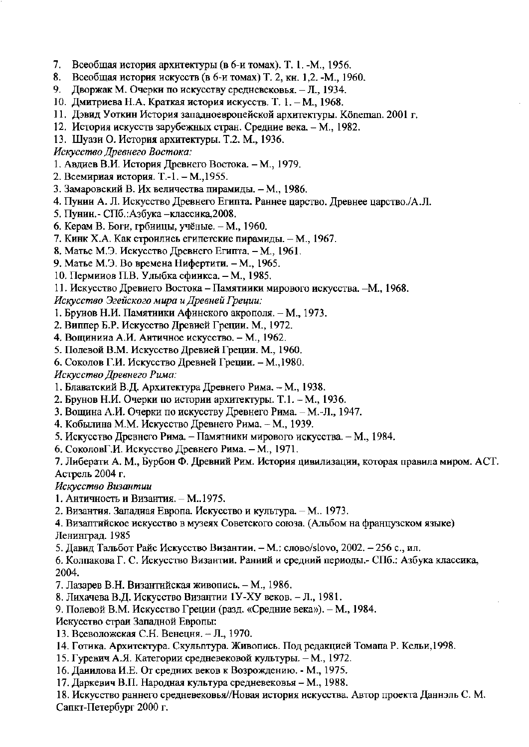- $7.$ Всеобщая история архитектуры (в 6-и томах). Т. 1. -М., 1956.
- 8. Всеобщая история искусств (в 6-и томах) Т. 2, кн. 1,2. -М., 1960.
- 9. Дворжак М. Очерки по искусству средневековья. - Л., 1934.
- 10. Дмитриева Н.А. Краткая история искусств. Т. 1. М., 1968.
- 11. Дэвид Уоткин История западноевропейской архитектуры. Кöneman, 2001 г.
- 12. История искусств зарубежных стран. Средние века. М., 1982.
- 13. Шуази О. История архитектуры. Т.2. М., 1936.

Искусство Древнего Востока:

- 1. Авдиев В.И. История Древнего Востока. М., 1979.
- 2. Всемириая история. Т.-1. М., 1955.
- 3. Замаровский В. Их величества пирамиды. М., 1986.
- 4. Пунии А. Л. Искусство Древнего Египта. Раннее царство. Древнее царство./А.Л.
- 5. Пунин. СПб.: Азбука классика, 2008.
- 6. Керам В. Боги, грбиицы, учёные. М., 1960.
- 7. Кинк Х.А. Как строились египетские пирамиды. М., 1967.
- 8. Матье М.Э. Искусство Древнего Египта, М., 1961.
- 9. Матье М.Э. Во времена Нифертити. М., 1965.
- 10. Перминов П.В. Улыбка сфинкса. М., 1985.

11. Искусство Древиего Востока - Памятинки мирового искусства. -М., 1968.

Искусство Эгейского мира и Древней Греции:

- 1. Бруиов Н.И. Памятиики Афинского акрополя. М., 1973.
- 2. Виппер Б.Р. Искусство Древией Греции. М., 1972.
- 4. Вощинииа А.И. Античное искусство. М., 1962.
- 5. Полевой В.М. Искусство Древией Греции. М., 1960.
- 6. Соколов Г.И. Искусство Древней Греции. М., 1980.
- Искусство Древнего Рима:
- 1. Блаватский В.Д. Архитектура Древнего Рима. М., 1938.
- 2. Брунов Н.И. Очерки по истории архитектуры. Т.1. М., 1936.
- 3. Вощина А.И. Очерки по искусству Древнего Рима. М.-Л., 1947.
- 4. Кобылина М.М. Искусство Древнего Рима. М., 1939.
- 5. Искусство Древнего Рима. Памятники мирового искусства. М., 1984.
- 6. СоколовГ.И. Искусство Древнего Рима. М., 1971.

7. Либерати А. М., Бурбон Ф. Древний Рим. История цивилизации, которая правила миром. АСТ. Астрель 2004 г.

Искусство Византии

- 1. Античность и Византия. М..1975.
- 2. Византия. Западиая Европа. Искусство и культура. М.. 1973.

4. Визаптийское искусство в музеях Советского союза. (Альбом на французском языке) Ленинград. 1985

5. Давид Тальбот Райс Искусство Византии. - М.: слово/slovo, 2002. - 256 с., ил.

6. Колпакова Г. С. Искусство Византии. Ранний и средний периоды.- СПб.: Азбука классика, 2004.

- 7. Лазарев В.Н. Византийская живопись. М., 1986.
- 8. Лихачева В.Д. Искусство Византии 1У-ХУ веков. Л., 1981.
- 9. Полевой В.М. Искусство Греции (разд. «Средние века»). М., 1984.
- Искусство стран Западной Европы:
- 13. Всеволожская С.Н. Венецня. Л., 1970.
- 14. Готика. Архитектура. Скульптура. Живопись. Под редакцией Томапа Р. Кельи, 1998.
- 15. Гуревич А.Я. Категории средневековой культуры. М., 1972.
- 16. Данилова И.Е. От средних веков к Возрождению. М., 1975.
- 17. Даркевич В.П. Народная культура средневековья М., 1988.

18. Искусство раннего средневековья//Новая история искусства. Автор проекта Даннэль С. М. Сапкт-Петербург 2000 г.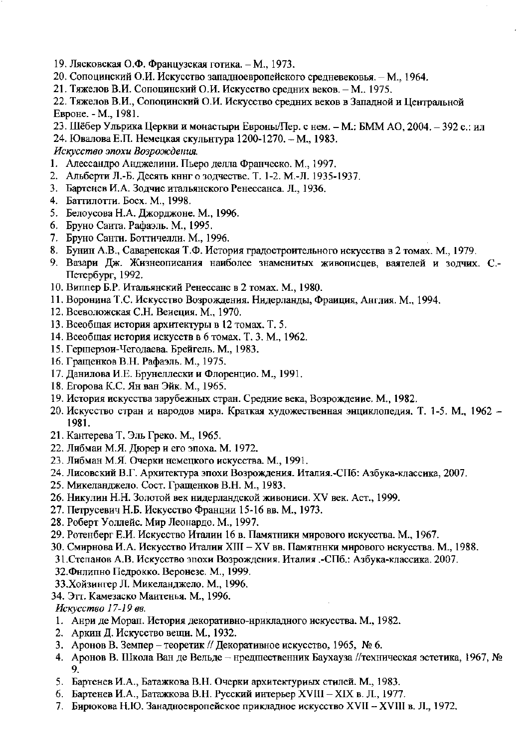- 19. Лясковская О.Ф. Французская готика. М., 1973.
- 20. Сопоцинский О.И. Искусство западноевропейского средневековья. М., 1964.
- 21. Тяжелов В.И. Сопоцинский О.И. Искусство средних веков. М.. 1975.
- 22. Тяжелов В.И., Сопоцинский О.И. Искусство средних веков в Западной и Центральной Евроне. - М., 1981.
- 23. Шёбер Ульрика Церкви и монастыри Евроны/Пер. с нем. М.: БММ АО, 2004. 392 с.: ил
- 24. Ювалова Е.П. Немецкая скульнтура 1200-1270. М., 1983.

Искусство эпохи Возрождения.

- 1. Алессандро Анджелини. Пьеро делла Франческо. М., 1997.
- 2. Альберти Л.-Б. Десять кннг о зодчестве. Т. 1-2. М.-Л. 1935-1937.
- 3. Бартенев И.А. Зодчие итальянского Ренессанса. Л., 1936.
- 4. Баттилотти. Босх. М., 1998.
- 5. Белоусова Н.А. Джорджоне. М., 1996.
- 6. Бруно Санта. Рафаэль. М., 1995.
- 7. Бруно Санти. Боттичелли. М., 1996.
- 8. Бунин А.В., Саваренская Т.Ф. История градостроительного искусства в 2 томах. М., 1979.
- 9. Вазари Дж. Жизнеописания наиболее знаменитых живописцев, ваятелей и зодчих. С.-Петербург, 1992.
- 10. Виппер Б.Р. Итальянский Ренессанс в 2 томах. М., 1980.
- 11. Воронина Т.С. Искусство Возрождения. Нидерланды, Фраиция, Англия. М., 1994.
- 12. Всеволожская С.Н. Венеция. М., 1970.
- 13. Всеобщая история архитектуры в 12 томах. Т. 5.
- 14. Всеобщая история искусств в 6 томах. Т. 3. М., 1962.
- 15. Гершерзон-Чегодаева. Брейгель. М., 1983.
- 16. Гращенков В.Н. Рафаэль. М., 1975.
- 17. Данилова И.Е. Брунеллески и Флоренцио. М., 1991.
- 18. Егорова К.С. Ян ван Эйк. М., 1965.
- 19. История искусства зарубежных стран. Средние века, Возрождение. М., 1982.
- 20. Искусство стран и народов мира. Краткая художественная энциклопедия, Т. 1-5. М., 1962 -1981.
- 21. Кантерева Т. Эль Греко. М., 1965.
- 22. Либмаи М.Я. Дюрер и его эпоха. М. 1972.
- 23. Либман М.Я. Очерки немецкого искусства. М., 1991.
- 24. Лисовский В.Г. Архитектура эпохи Возрождения. Италия.-СПб: Азбука-классика, 2007.
- 25. Микеланджело. Сост. Гращенков В.Н. М., 1983.
- 26. Никулин Н.Н. Золотой век нидерландской живониси. XV век. Аст., 1999.
- 27. Петрусевич Н.Б. Искусство Франции 15-16 вв. М., 1973.
- 28. Роберт Уоллейс. Мир Леонардо. М., 1997.
- 29. Ротенберг Е.И. Искусство Италии 16 в. Памятники мирового искусства. М., 1967.
- 30. Смирнова И.А. Искусство Италии XIII XV вв. Памятники мирового искусства. М., 1988.
- 31. Степанов А.В. Искусство эпохи Возрождения. Италия .- СПб.: Азбука-классика. 2007.
- 32. Филипно Педрокко. Веронезе. М., 1999.
- 33. Хойзингер Л. Микеланджело. М., 1996.
- 34. Этт. Камезаско Мантенья. М., 1996.

Искусство 17-19 вв.

- 1. Анри де Морап. История декоративно-нрикладного искусства. М., 1982.
- 2. Аркин Д. Искусство вещи. М., 1932.
- 3. Аронов В. Земпер теоретик // Декоративное искусство, 1965, № 6.
- 4. Аронов В. Школа Ван де Вельде нредшественник Баухауза //техническая эстетика, 1967, № 9.
- 5. Бартенев И.А., Батажкова В.Н. Очерки архитектуриых стилей. М., 1983.
- 6. Бартенев И.А., Батажкова В.Н. Русский интерьер XVIII XIX в. Л., 1977.
- 7. Бирюкова Н.Ю. Занадноевропейское прикладное искусство XVII XVIII в. Л., 1972.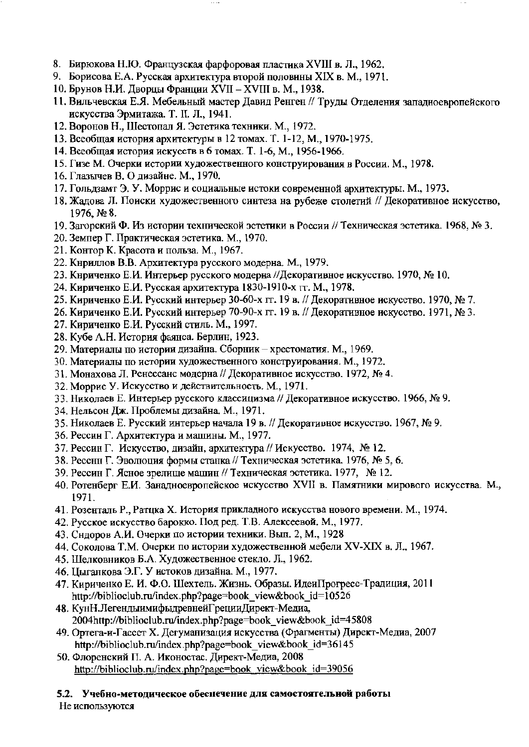- 8. Бирюкова Н.Ю. Французская фарфоровая пластика XVIII в. Л., 1962.
- 9. Борисова Е.А. Русская архитектура второй половины XIX в. М., 1971.
- 10. Брунов Н.И. Дворцы Франции XVII XVIII в. М., 1938.
- 11. Вильчевская Е.Я. Мебельный мастер Давид Ренген // Труды Отделения западноевропейского искусства Эрмитажа. Т. II. Л., 1941.
- 12. Воронов Н., Шестопал Я. Эстетика техники. М., 1972.
- 13. Всеобщая история архитектуры в 12 томах. Т. 1-12, М., 1970-1975.
- 14. Всеобщая история искусств в 6 томах. Т. 1-6, М., 1956-1966.
- 15. Гизе М. Очерки истории художественного конструирования в России. М., 1978.
- 16. Глазычев В. О дизайне. М., 1970.
- 17. Гольдзамт Э. У. Моррис и социальные истоки современной архитектуры. М., 1973.
- 18. Жадова Л. Поиски художественного синтеза на рубеже столетий // Декоративное искусство, 1976, № 8.
- 19. Загорский Ф. Из истории технической эстетики в России // Техническая эстетика. 1968, № 3.
- 20. Земпер Г. Практическая эстетика. М., 1970.
- 21. Контор К. Красота и польза. М., 1967.
- 22. Кнриллов В.В. Архитектура русского модерна. М., 1979.
- 23. Кнриченко Е.И. Интерьер русского модерна //Декоративное искусство. 1970, № 10.
- 24. Кириченко Е.И. Русская архитектура 1830-1910-х гг. М., 1978.
- 25. Кириченко Е.И. Русский интерьер 30-60-х гг. 19 в. // Декоративное искусство. 1970, № 7.
- 26. Кириченко Е.И. Русский интерьер 70-90-х гг. 19 в. // Декоративное искусство. 1971, № 3.
- 27. Кириченко Е.И. Русский стиль. М., 1997.
- 28. Кубе А.Н. История фаянса. Берлин, 1923.
- 29. Материалы по истории дизайна. Сборник хрестоматия. М., 1969.
- 30. Материалы по истории художественного конструирования. М., 1972.
- 31. Монахова Л. Ренессанс модерна // Декоративное искусство. 1972, № 4.
- 32. Моррис У. Искусство и действительность. М., 1971.
- 33. Николаев Е. Интерьер русского классицизма // Декоративное искусство. 1966, № 9.
- 34. Нельсон Дж. Проблемы дизайна. М., 1971.
- 35. Николаев Е. Русский интерьер начала 19 в. // Декоративное искусство. 1967, № 9.
- 36. Рессин Г. Архитектура и машины. М., 1977.
- 37. Рессин Г. Искусство, дизайн, архитектура // Искусство. 1974, № 12.
- 38. Рессни Г. Эволюция формы станка // Техническая эстетика. 1976, № 5, 6.
- 39. Рессин Г. Ясное зрелище машин // Техническая эстетика. 1977, № 12.
- 40. Ротенберг Е.И. Занадноевропейское искусство XVII в. Памятники мирового искусства. М., 1971.
- 41. Розенталь Р., Ратцка Х. История прикладного искусства нового времени. М., 1974.
- 42. Русское искусство барокко. Под ред. Т.В. Алексеевой. М., 1977.
- 43. Сидоров А.И. Очерки по истории техники. Вып. 2, М., 1928
- 44. Соколова Т.М. Очерки по истории художественной мебели XV-XIX в. Л., 1967.
- 45. Шелковников Б.А. Художественное стекло. Л., 1962.
- 46. Цыганкова Э.Г. У истоков дизайна. М., 1977.
- 47. Кириченко Е. И. Ф.О. Шехтель. Жизнь. Образы. ИдеиПрогресс-Традиция, 2011 http://biblioclub.ru/index.php?page=book\_view&book\_id=10526
- 48. КунН.ЛегендыимифыдревнейГрецииДирект-Медиа, 2004http://biblioclub.ru/index.php?page=book view&book id=45808
- 49. Ортега-и-Гассет Х. Дегуманизация искусства (Фрагменты) Директ-Медиа, 2007 http://biblioclub.ru/index.php?page=book view&book id=36145
- 50. Флоренский П. А. Иконостас. Директ-Медиа, 2008 http://biblioclub.ru/index.php?page=book\_view&book\_id=39056

# 5.2. Учебно-методическое обеспечение для самостоятельной работы

Не используются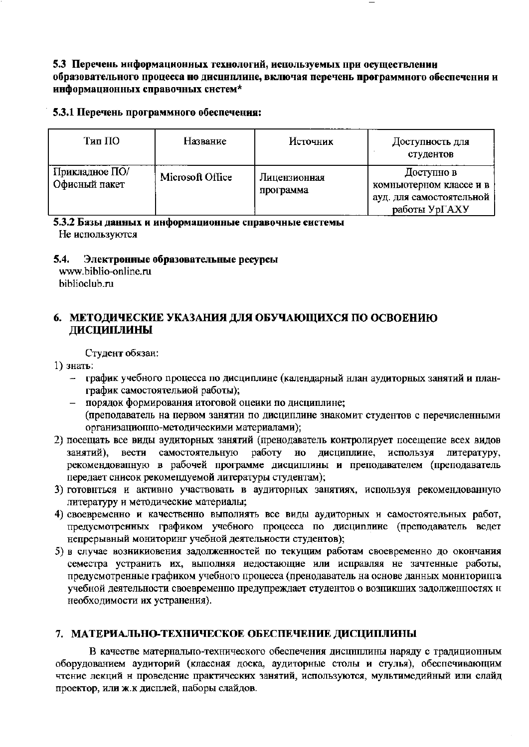## 5.3 Перечень информационных технологий, используемых при осуществлении образовательного процесса но дисциплине, включая перечень программного обеспечения и информационных справочных систем\*

#### 5.3.1 Перечень программного обеспечения:

| Тип ПО                          | Название         | Источник                  | Доступность для<br>студентов                                                       |
|---------------------------------|------------------|---------------------------|------------------------------------------------------------------------------------|
| Прикладное ПО/<br>Офисный пакет | Microsoft Office | Лицензионная<br>программа | Доступно в<br>комньютерном классе и в<br>ауд. для самостоятельной<br>работы УрГАХУ |

5.3.2 Базы данных и информационные справочные системы Не используются

#### 5.4. Электронные образовательные ресурсы

www.biblio-online.ru biblioclub.ru

# 6. МЕТОДИЧЕСКИЕ УКАЗАНИЯ ДЛЯ ОБУЧАЮЩИХСЯ ПО ОСВОЕНИЮ ДИСЦИПЛИНЫ

Студент обязан:

## 1) знать:

- график учебного процесса по дисциплине (календарный нлан аудиторных занятий и планграфик самостоятельной работы);
- порядок формирования итоговой оценки по дисциплине; (преподаватель на первом занятии по дисциплине знакомит студентов с перечисленными организациоппо-методическими материалами);
- 2) посещать все виды аудиторных занятий (пренодаватель контролирует посещение всех видов занятий), вести самостоятельную работу но дисциплине, используя литературу, рекомендовапную в рабочей программе дисциплины и преподавателем (преподаватель передает снисок рекомендуемой литературы студентам);
- 3) готовнться и активно участвовать в аудиторных занятиях, используя рекомендованную литературу и методические материалы;
- 4) своевременно и качественно выполнять все виды аудиторных и самостоятельных работ, предусмотренных графиком учебного процесса по дисциплине (преподаватель ведет непрерывный мониторинг учебной деятельности студентов);
- 5) в случае возникиовения задолженностей по текущим работам своевременно до окончания семестра устранить их, выполняя недостающие или исправляя не зачтенные работы, предусмотренные графиком учебного процесса (пренодаватель на основе данных мониторипга учебной деятельности своевременно предупреждает студентов о возникших задолженностях н необходимости их устранения).

# 7. МАТЕРИАЛЬНО-ТЕХНИЧЕСКОЕ ОБЕСПЕЧЕНИЕ ДИСЦИПЛИНЫ

В качестве матернальпо-технического обеспечения дисциплины наряду с традиционным оборудованием аудиторий (классная доска, аудиторные столы и стулья), обеспечивающим чтение лекций н проведение практических занятий, используются, мультимедийный или слайд проектор, или ж.к дисплей, паборы слайдов.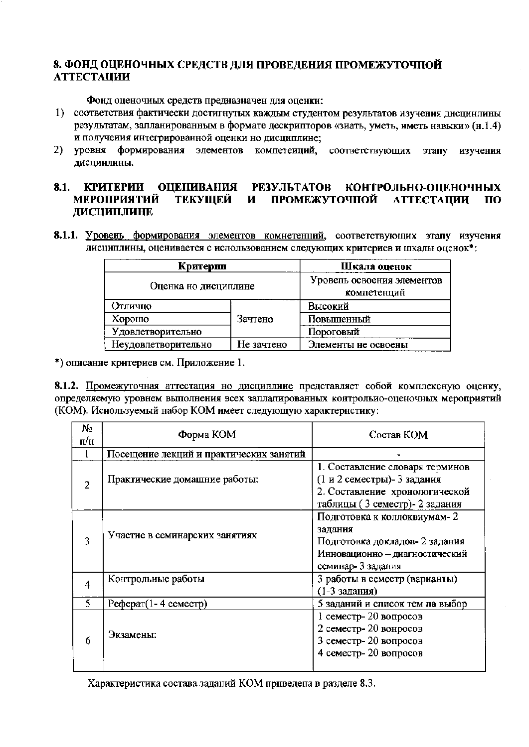# 8. ФОНД ОЦЕНОЧНЫХ СРЕДСТВ ДЛЯ ПРОВЕДЕНИЯ ПРОМЕЖУТОЧНОЙ **АТТЕСТАЦИИ**

Фонд оценочных средств предназначен для оценки:

- 1) соответствия фактически достигнутых каждым студентом результатов изучения дисцинлины результатам, запланированным в формате дескрипторов «зиать, уметь, иметь навыки» (н.1.4) и получения интегрированной оценки но дисциплине;
- 2) уровня формирования элементов компетеиций, соответствующих этапу изучения дисцинлины.

#### 8.1. КРИТЕРИИ ОЦЕНИВАНИЯ РЕЗУЛЬТАТОВ КОНТРОЛЬНО-ОЦЕНОЧНЫХ **МЕРОПРИЯТИЙ** ТЕКУШЕЙ И ПРОМЕЖУТОЧНОЙ **АТТЕСТАЦИИ** ПО ДИСЦИПЛИНЕ

8.1.1. Уровень формирования элементов комнетенций, соответствующих этапу изучения дисциплины, оценивается с использованием следующих критериев и шкалы оценок\*:

| Критерии             |            | Шкала оценок                              |  |
|----------------------|------------|-------------------------------------------|--|
| Оценка но дисциплине |            | Уровель освоения элементов<br>компетенций |  |
| Отлично              |            | Высокий                                   |  |
| Хорошо               | Зачтено    | Повышенный                                |  |
| Удовлетворительно    |            | Пороговый                                 |  |
| Неудовлетворительно  | Не зачтено | Элементы не освоены                       |  |

\*) описание критериев см. Приложение 1.

8.1.2. Промежуточная аттестация но дисциплиие представляет собой комплексную оценку, определяемую уровнем выполнения всех заплалированных контрольио-оценочных мероприятий (КОМ). Иснользуемый набор КОМ имеет следующую характернстику:

| No                  | Форма КОМ                               | Состав КОМ                                                                                                                         |  |  |
|---------------------|-----------------------------------------|------------------------------------------------------------------------------------------------------------------------------------|--|--|
| $\Pi/\Pi$           |                                         |                                                                                                                                    |  |  |
|                     | Посещение лекций и практических занятий |                                                                                                                                    |  |  |
| 2                   | Практические домашние работы:           | 1. Составление словаря терминов<br>(1 и 2 семестры)- 3 задания<br>2. Составление хронологической<br>таблицы (3 семестр)- 2 задания |  |  |
| 3                   | Участие в семинарских занятиях          | Подготовка к коллоквиумам-2<br>задания<br>Подготовка докладов- 2 задания<br>Инновационно - диагностический<br>семинар- 3 задания   |  |  |
| $\overline{\bf{4}}$ | Контрольные работы                      | 3 работы в семестр (варианты)<br>(1-3 задания)                                                                                     |  |  |
| 5                   | Реферат $(1 - 4$ семестр)               | 5 заданий и список тем па выбор                                                                                                    |  |  |
| 6                   | Экзамены:                               | 1 семестр-20 вопросов<br>2 семестр-20 вонросов<br>3 семестр-20 вопросов<br>4 семестр-20 вопросов                                   |  |  |

Характеристика состава заданий КОМ нрнведена в разделе 8.3.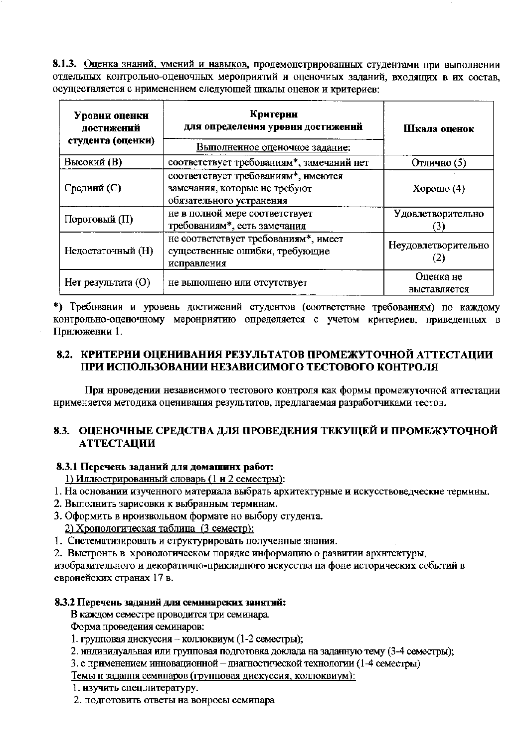8.1.3. Оценка знаний, умений и навыков, продемонстрированных студентами при выполнении отдельных контрольно-оценочных мероприятий и оценочных заданий, входящих в их состав, осуществляется с нрименением следующей шкалы оценок и критериев:

| Уровни оценки<br>достижений<br>студента (оценки) | Критерин<br>для определения уровня достижений                                                    | Шкала оценок              |  |
|--------------------------------------------------|--------------------------------------------------------------------------------------------------|---------------------------|--|
|                                                  | Выполненное оценочное задание:                                                                   |                           |  |
| Высокий (В)                                      | соответствует требованиям*, замечаний нет                                                        | Отлично (5)               |  |
| Средний (С)                                      | соответствует требованиям*, имеются<br>замечания, которые не требуют<br>обязательного устранения | $X$ орошо $(4)$           |  |
| Пороговый (П)                                    | не в полной мере соответствует<br>требованиям*, есть замечания                                   | Удовлетворительно         |  |
| Недостаточный (Н)                                | не соответствует требованиям*, имеет<br>существенные ошибки, требующие<br>исправления            | Неудовлетворительно       |  |
| $H$ ет результата (O)                            | не выполнено или отсутствует                                                                     | Оценка не<br>выставляется |  |

\*) Требования и уровень достижений студентов (соответствие требованиям) по каждому контрольно-оценочному меронриятию определяется с учетом критериев, нриведенных в Приложении 1.

# 8.2. КРИТЕРИИ ОЦЕНИВАНИЯ РЕЗУЛЬТАТОВ ПРОМЕЖУТОЧНОЙ АТТЕСТАЦИИ ПРИ ИСПОЛЬЗОВАНИИ НЕЗАВИСИМОГО ТЕСТОВОГО КОНТРОЛЯ

При нроведении независимого тестового контроля как формы промежуточной аттестации нрименяется методика оценивания результатов, предлагаемая разработчиками тестов.

# 8.3. ОЦЕНОЧНЫЕ СРЕДСТВА ДЛЯ ПРОВЕДЕНИЯ ТЕКУЩЕЙ И ПРОМЕЖУТОЧНОЙ **АТТЕСТАЦИИ**

# 8.3.1 Перечень заданий для домашних работ:

1) Иллюстрированный словарь (1 и 2 семестры):

- 1. На основании изученного материала выбрать архитектурные и искусствоведческие термины.
- 2. Выполнить зарисовки к выбранным терминам.
- 3. Оформить в нроизвольном формате но выбору студента.
	- 2) Хронологическая таблица (3 семестр):
- 1. Систематизировать и структурировать полученные знания.
- 2. Выстронть в хронологическом порядке информацию о развитии архитектуры,

изобразительного и декоративно-прикладного искусства на фоне исторических событий в евронейских странах 17 в.

#### 8.3.2 Перечень заданий для семинарских занятий:

В каждом семестре проводится три семинара.

Форма проведения семинаров:

- 1. групповая дискуссия коллоквиум (1-2 семестры);
- 2. индивидуальная или групповая подготовка доклада на заданную тему (3-4 семестры);
- 3. с применением инновационной диагностической технологии (1-4 семестры)

Темы н задання семинаров (грунповая дискуссия, коллоквиум):

- 1. изучить спец.литературу.
- 2. подготовить ответы на вонросы семипара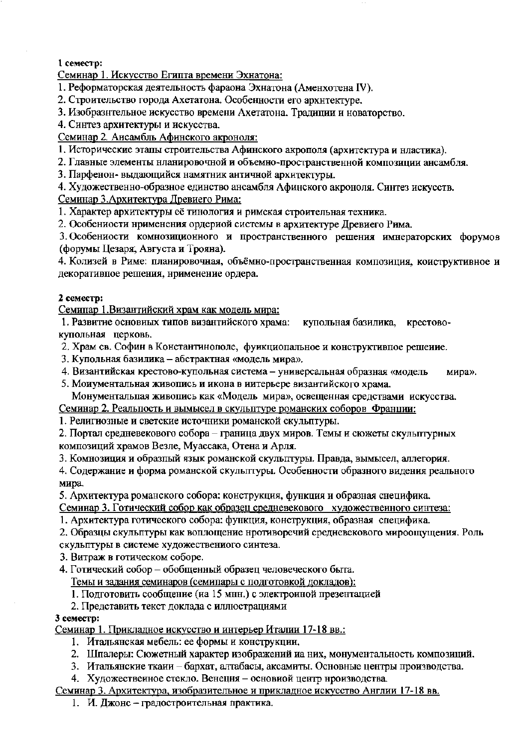# 1 семестр:

Семинар 1. Искусство Египта времени Эхнатона:

- 1. Реформаторская деятельность фараона Эхнатона (Аменхотена IV).
- 2. Строительство города Ахетатона. Особенности его архнтектуре.
- 3. Изобразительное искусство времени Ахетатона. Традиции и новаторство.
- 4. Синтез архитектуры и искусства.
- Семинар 2. Ансамбль Афинского акроноля:
- 1. Исторические этапы строительства Афинского акрополя (архитектура и нластика).
- 2. Главные элементы нланировочной и объемно-пространственной композиции ансамбля.
- 3. Парфенон- выдающийся намятник античной архитектуры.
- 4. Художественно-образное единство ансамбля Афинского акроноля. Синтез искусств.

# Семинар 3. Архитектура Древиего Рима:

- 1. Характер архитектуры её тинология и римская строительная техника.
- 2. Особениости нрименения ордериой системы в архитектуре Древиего Рима.

3. Особениости комнозиционного и пространственного решения имнераторских форумов (форумы Цезаря, Августа и Трояна).

4. Колизей в Риме: планировочная, объёмно-пространственная композиция, коиструктивное и декоративное решения, нрименение ордера.

## 2 семестр:

Семипар 1. Византийский храм как модель мира:

1. Развитие основиых типов византийского храма: купольная базилика, крестовокупольная церковь.

2. Храм св. Софин в Константинополе, функциопальное и конструктивное решеиие.

- 3. Купольная базилика абстрактная «модель мира».
- 4. Византийская крестово-купольная система универсальная образная «модель мира».
- 5. Моиументальная живопись и икона в иитерьере византийского храма. Монументальпая живопись как «Модель мира», освещенная средствами искусства.

Семинар 2. Реальпость и вымысел в скульптуре романских соборов Франции:

1. Религиозные и светские источники романской скульптуры.

2. Портал средневекового собора - граница двух миров. Темы и сюжеты скульптурных композиций храмов Везле, Муассака, Отена и Арля.

3. Комнозиция и образпый язык романской скульптуры. Правда, вымысел, аллегория.

4. Содержание и форма романской скульптуры. Особенности образного видения реального мира.

5. Архитектура романского собора: конструкция, функция и образная снецифика.

Семинар 3. Готический собор как образец средневекового художественного синтеза:

- 1. Архитектура готического собора: функция, конструкция, образная специфика.
- 2. Образцы скульптуры как воплощение нротиворечий средневекового мироощущения. Роль
- скульптуры в системе художествениого синтеза.

3. Витраж в готическом соборе.

4. Готический собор - обобщенный образец человеческого быта.

Темы и задания семинаров (семипары с подготовкой докладов):

- 1. Подготовить сообщение (иа 15 мнн.) с электроиной презентацией
- 2. Представить текст доклада с иллюстрациями

#### 3 семестр:

Семинар 1. Прикладное искусство и интерьер Италии 17-18 вв.:

- 1. Итальянская мебель: ее формы и конструкции.
- 2. Шпалеры: Сюжетный характер изображений иа них, монументальность композиций.
- 3. Итальянские ткани бархат, алтабасы, аксамиты. Основные центры производства.
- 4. Художественное стекло. Венеция основиой центр нроизводства.

# Семинар 3. Архитектура, изобразительное и прикладное искусство Англии 17-18 вв.

1. И. Джонс - градостроительная практика.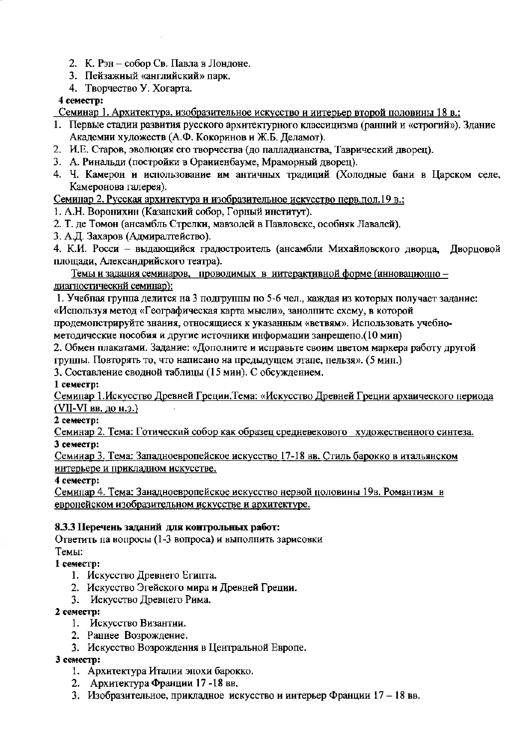- 2. К. Рэн собор Св. Павла в Лондоне.
- 3. Пейзажный «английский» парк.
- 4. Творчество У. Хогарта.

# 4 семестр:

Семинар 1. Архитектура, изобразительное искусство и интерьер второй половины 18 в.:

- 1. Первые стадии развития русского архитектурного классицизма (ранний и «строгий»). Здание Академии художеств (А.Ф. Кокоринов и Ж.Б. Деламот).
- 2. И.Е. Старов, эволюция его творчества (до палладианства, Таврический дворец).
- 3. А. Ринальди (постройки в Ораниенбауме, Мраморный дворец).
- 4. Ч. Камерон и использование им античных традиций (Холодные бани в Царском селе, Камеронова галерея).

Семинар 2. Русская архитектура и изобразительное искусство перв. пол. 19 в.:

- 1. А.Н. Воронихин (Казанский собор, Горный институт).
- 2. Т. де Томон (ансамбль Стрелки, мавзолей в Павловске, особняк Лавалей).
- 3. А.Д. Захаров (Адмиралтейство).

4. К.И. Росси - выдающийся градостроитель (ансамбли Михайловского дворца, Дворцовой площади, Александрийского театра).

Темы и задания семинаров, проводимых в иитерактивной форме (инновационно диагностический семинар):

1. Учебная группа делится на 3 подгруппы по 5-6 чел., каждая из которых получает задание: «Используя метод «Географическая карта мысли», занолпите схему, в которой

продемопстрируйте знания, относящиеся к указанным «ветвям». Использовать учебно-

методические пособия и другие источники информации занрещепо.(10 мип)

2. Обмен плакатами. Задание: «Дополните и исправьте своим цветом маркера работу другой грунны. Повторять то, что написано на предыдущем этапе, пельзя». (5 мин.)

3. Составление сводной таблицы (15 мин). С обсуждением.

1 семестр:

Семинар 1. Искусство Древней Греции. Тема: «Искусство Древней Греции архаического нериода (VII-VI вв. до н.э.)

2 семестр:

Семинар 2. Тема: Готический собор как образец средневекового художественного синтеза. 3 семестр:

Семииар 3. Тема: Западноевропейское искусство 17-18 вв. Стиль барокко в итальянском интерьере и прикладном искусстве.

4 семестр:

Семинар 4. Тема: Занадноевропейское искусство нервой половины 19в. Романтизм в европейском изобразительном искусстве и архитектуре.

# 8.3.3 Перечень заданий для контрольных работ:

Ответить на вопросы (1-3 вопроса) и выполнить зарисовки Темы:

1 семестр:

- 1. Искусство Древнего Египта.
- 2. Искусство Эгейского мира и Древней Греции.
- 3. Искусство Древнего Рима.

# 2 семестр:

- 1. Искусство Византии.
- 2. Рапнее Возрождение.
- 3. Искусство Возрождения в Центральной Европе.

3 семестр:

- 1. Архитектура Италии энохи барокко.
- 2. Архитектура Франции 17-18 вв.
- 3. Изобразительное, прикладное искусство и иитерьер Франции 17 18 вв.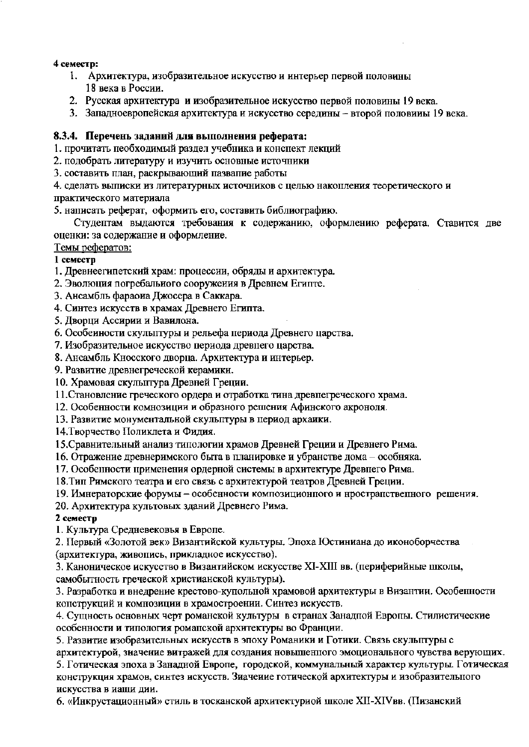#### 4 семестр:

- 1. Архитектура, изобразительное искусство и интерьер первой половины 18 века в России.
- 2. Русская архитектура и изобразительное искусство первой половины 19 века.
- 3. Западноевропейская архитектура и искусство середины второй половины 19 века.

# 8.3.4. Перечень заданий для выполнения реферата:

1. прочитать пеобходимый раздел учебника и конспект лекций

2. подобрать литературу и изучить основные источники

3. составить план, раскрывающий пазвапие работы

4. сделать выписки из литературных источников с целью накопления теоретического и

практического материала

5. написать реферат, оформить его, составить библиографию.

Студептам выдаются требования к содержанию, оформлению реферата. Ставится две оценки: за содержание и оформление.

Темы рефератов:

## 1 семестр

1. Древнеегипетский храм: процессии, обряды и архитектура.

2. Эволюция погребального сооружения в Древнем Египте.

3. Ансамбль фараоиа Джосера в Саккара.

4. Синтез искусств в храмах Древнего Египта.

5. Дворци Ассирии и Вавилона.

6. Особеиности скульптуры и рельефа периода Древнего царства.

7. Изобразительное искусство периода древнего царства.

8. Ансамбль Кносского дворца. Архитектура и интерьер.

9. Развитие древнегреческой керамики.

10. Храмовая скульптура Древней Греции.

11. Становление греческого ордера и отработка тина древнегреческого храма.

12. Особенности комнозиции и образного решения Афинского акроноля.

13. Развитие монументальной скульптуры в период архаики.

14. Творчество Поликлета и Фидия.

15. Сравнительный анализ типологии храмов Древней Греции и Древнего Рима.

16. Отражение древнеримского быта в планировке и убранстве дома - особняка.

17. Особенности применения ордерной системы в архитектуре Древнего Рима.

18. Тип Римского театра и его связь с архитектурой театров Древней Греции.

19. Имнераторские форумы - особенности композиционного и нространственного решения.

20. Архитектура культовых зданий Древнего Рима.

# 2 семестр

1. Культура Средневековья в Европе.

2. Первый «Золотой век» Византийской культуры. Эпоха Юстиниана до иконоборчества (архитектура, живопись, прикладное искусство).

3. Каноническое искусство в Византийском искусстве XI-XIII вв. (периферийные школы, самобытность греческой христианской культуры).

3. Разработка и внедрение крестово-купольной храмовой архитектуры в Византии. Особенности конструкций и комнозиции в храмостроении. Синтез искусств.

4. Сущность основных черт романской культуры в странах Занадпой Европы. Стилистические особенности и типология романской архитектуры во Франции.

5. Развитие изобразительных искусств в эпоху Романики и Готики. Связь скульптуры с

архитектурой, значение витражей для создания новышенного эмоционального чувства верующих. 5. Готическая эпоха в Занадной Европе, городской, коммунальный характер культуры. Готическая конструкция храмов, синтез искусств. Зиачение готической архитектуры и изобразительного искусства в иаши дии.

6. «Инкрустационный» стиль в тосканской архитектуриой школе XII-XIVвв. (Пизанский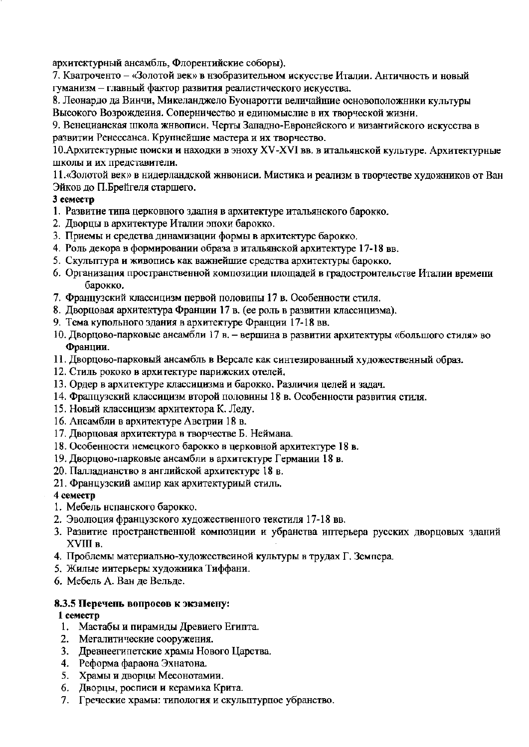архитектурный ансамбль, Флорентийские соборы),

7. Кватроченто - «Золотой век» в нзобразительном искусстве Италии. Античность и новый гуманизм - главный фактор развития реалистического искусства.

8. Леонардо да Винчи, Микеланджело Буонаротти величайшие основоположники культуры Высокого Возрождения. Соперничество и единомыслие в их творческой жизни.

9. Венецианская школа жнвописи. Черты Западно-Евронейского и византийского искусства в развитии Ренессанса. Крупнейшие мастера и их творчество.

10. Архитектурные поиски и находки в эноху XV-XVI вв. в итальянской культуре. Архитектурные школы и их представители.

11. «Золотой век» в нидерландской жнвониси. Мистика и реализм в творчестве художников от Ван Эйков до П.Брейгеля старшего.

## 3 семестр

- 1. Развитие типа церковного здалия в архитектуре итальянского барокко.
- 2. Дворцы в архитектуре Италии эпохи барокко.
- 3. Приемы и средства динамизации формы в архитектуре барокко.
- 4. Роль декора в формировании образа в итальянской архитектуре 17-18 вв.
- 5. Скулыптура и живопись как важнейшие средства архитектуры барокко.
- 6. Организация пространственной композиции площадей в градостроительстве Италии времени барокко.
- 7. Французский классицизм первой половипы 17 в. Особенности стиля.
- 8. Дворцовая архитектура Франции 17 в. (ее роль в развитии классицизма).
- 9. Тема купольного здания в архитектуре Франции 17-18 вв.
- 10. Дворцово-парковые ансамбли 17 в. вершина в развитии архитектуры «большого стиля» во Франции.
- 11. Дворцово-парковый ансамбль в Версале как синтезированный художественный образ.
- 12. Стиль рококо в архитектуре парижских отелей.
- 13. Ордер в архитектуре классицизма и барокко. Различия целей и задач.
- 14. Фрапцузский классицизм второй половины 18 в. Особенности развития стиля.
- 15. Новый классицизм архитектора К. Леду.
- 16. Ансамбли в архитектуре Австрии 18 в.
- 17. Дворцовая архитектура в творчестве Б. Неймана.
- 18. Особенности немецкого барокко в церковной архитектуре 18 в.
- 19. Дворцово-парковые ансамбли в архитектуре Германии 18 в.
- 20. Палладианство в английской архитектуре 18 в.
- 21. Французский ампир как архитектуриый стиль.

# 4 семестр

- 1. Мебель нспанского барокко.
- 2. Эволюция французского художественного текстиля 17-18 вв.
- 3. Развитие пространственной композиции и убранства иптерьера русских дворцовых зданий XVIII в.
- 4. Проблемы материально-художественной культуры в трудах Г. Земпера.
- 5. Жилые иитерьеры художника Тиффани.
- 6. Мебель А. Ван де Вельде.

# 8.3.5 Перечень вопросов к экзамену:

#### 1 семестр

- 1. Мастабы и пирамиды Древиего Египта.
- 2. Мегалитические сооружения.
- 3. Древнеегипетские храмы Нового Царства.
- 4. Реформа фараона Эхнатона.
- 5. Храмы и дворцы Месонотамии.
- 6. Дворцы, росписи и керамика Крита.
- 7. Греческие храмы: типология и скульптурное убранство.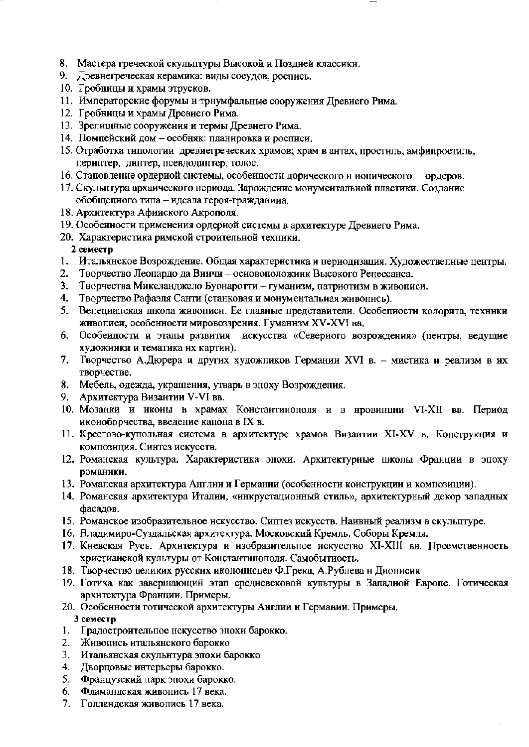- 8. Мастера греческой скульптуры Высокой и Поздней классики.
- 9. Древнегреческая керамика: виды сосудов, роспись.
- 10. Гробницы и храмы этрусков.
- 11. Императорские форумы и трнумфальные сооружения Древиего Рима.
- 12. Гробницы и храмы Древнего Рима.
- 13. Зрелищные сооружения и термы Древнего Рима.
- 14. Помпейский дом особняк: планировка и росписи.
- 15. Отработка типологии древиегреческих храмов; храм в антах, простиль, амфипростиль, периптер, диптер, псевдодиптер, толос.
- 16. Стаповление ордериой системы, особенности дорического и иопического ордеров.
- 17. Скульптура архаического периода. Зарождение монументальной пластики. Создание обобщенного типа - идеала героя-гражданина.
- 18. Архитектура Афииского Акрополя.
- 19. Особеиности применения ордерной системы в архитектуре Древиего Рима.
- 20. Характеристика римской строительной техпики.

## 2 семестр

- 1. Итальянское Возрождение. Общая характеристика и периодизация. Художественные центры.
- Творчество Леопардо да Винчи основоположиик Высокого Репессанса. 2.
- Творчества Микеланджело Буонаротти гуманизм, патриотизм в живописи. 3.
- 4. Творчество Рафаэля Санти (станковая и монументальиая живопись).
- 5. Вепецианская школа живописи. Ее главные представители. Особепности колорита, техники живописи, особенности мировоззрения. Гуманизм XV-XVI вв.
- 6. Особенности и этаны развития искусства «Северного возрождения» (центры, ведущие художники и тематика их картии).
- 7. Творчество А.Дюрера и других художников Германии XVI в. мистика и реализм в их творчестве.
- 8. Мебель, одежда, украшения, утварь в эпоху Возрождепия.
- 9. Архитектура Византии V-VI вв.
- 10. Мозанки и иконы в храмах Константинополя и в нровинции VI-XII вв. Период иконоборчества, введение канона в IX в.
- 11. Крестово-купольная система в архитектуре храмов Византии XI-XV в. Копструкция и композиция. Синтез искусств.
- 12. Романская культура. Характеристика энохи. Архитектурные школы Франции в эпоху романики.
- 13. Романская архитектура Англии и Германии (особенности коиструкции и композиции).
- 14. Романская архитектура Италии, «инкрустационный стиль», архитектурный декор западных фасадов.
- 15. Романское изобразительное искусство. Сиптез искусств. Наивный реализм в скульптуре.
- 16. Владимиро-Суздальская архитектура. Московский Кремль. Соборы Кремля.
- 17. Киевская Русь. Архитектура и изобразительное искусство XI-XIII вв. Преемственность христианской культуры от Константинополя. Самобытиость.
- 18. Творчество великих русских иконописцев Ф.Грека, А.Рублева и Дионисия
- 19. Готика как завершающий этап средневековой культуры в Западной Европе. Готическая архитектура Франции. Примеры.
- 20. Особенности готической архитектуры Англии и Германии. Примеры. 3 семестр
- 1. Градостроительное нскусство эпохи барокко.
- 2. Живопись итальянского барокко
- 3. Итальянская скульнтура эпохи барокко
- 4. Дворцовые интерьеры барокко.
- 5. Французский парк эпохи барокко.
- 6. Фламандская живопись 17 века.
- 7. Голландская живопись 17 века.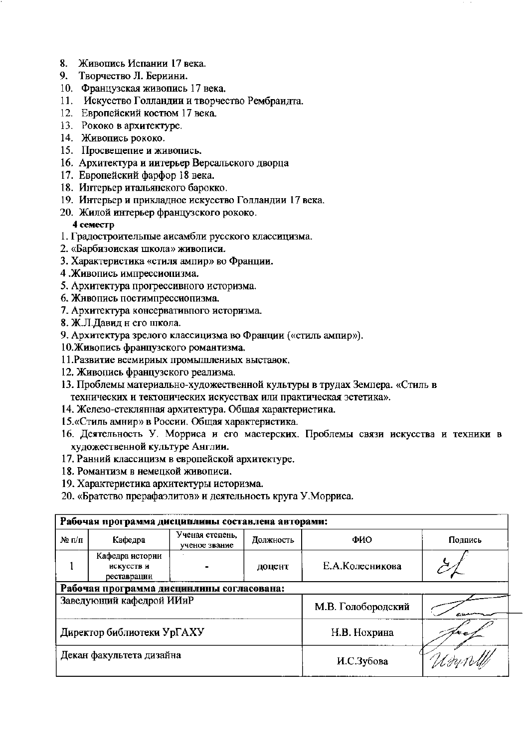- 8. Живопись Испании 17 века.
- 9. Творчество Л. Бериини.
- 10. Французская живопись 17 века.
- 11. Искусство Голландии и творчество Рембраидта.
- 12. Европейский костюм 17 века.
- 13. Рококо в архитектуре.
- 14. Живопись рококо.
- 15. Просвещение и живопись.
- 16. Архитектура и иитерьер Версальского дворца
- 17. Европейский фарфор 18 века.
- 18. Интерьер итальянского барокко.
- 19. Интерьер и прикладное искусство Голландии 17 века.
- 20. Жилой интерьер французского рококо.

# 4 семестр

- 1. Градостроительные аисамбли русского классицизма.
- 2. «Барбизоиская школа» живописи.
- 3. Характеристика «стиля ампир» во Франции.
- 4. Живопись импрессиопизма.
- 5. Архитектура прогрессивного историзма.
- 6. Живопись постимпрессиопизма.
- 7. Архитектура консервативного историзма.
- 8. Ж.Л.Давид н его школа.
- 9. Архитектура зрелого классицизма во Франции («стиль ампир»).
- 10. Живопись французского романтизма.
- 11. Развитие всемириых промышлениых выставок,
- 12. Живопись французского реализма.
- 13. Проблемы материально-художественной культуры в трудах Земпера. «Стиль в технических и тектонических искусствах или практическая эстетика».
- 14. Железо-стеклянная архитектура. Общая характеристика.
- 15. «Стиль амнир» в России. Общая характеристика.
- 16. Деятельность У. Морриса и его мастерских. Проблемы связи искусства и техники в художественной культуре Англии.
- 17. Ранний классицизм в европейской архитектуре.
- 18. Романтизм в немецкой живописи.
- 19. Характеристика архитектуры историзма.
- 20. «Братство прерафаэлитов» и деятельность круга У. Морриса.

| Рабочая программа дисциплины составлена авторами: |                                              |                                  |           |                 |         |
|---------------------------------------------------|----------------------------------------------|----------------------------------|-----------|-----------------|---------|
| $N_2$ п/п                                         | Кафедра                                      | Ученая степень,<br>ученое звание | Должность | ФИО             | Подпись |
|                                                   | Кафедра истории<br>искусств и<br>реставрации |                                  | доцент    | Е.А.Колесникова |         |
| Рабочая программа дисцинлины согласована:         |                                              |                                  |           |                 |         |
| Заведующий кафедрой ИИиР                          |                                              | М.В. Голобородский               |           |                 |         |
| Директор библиотеки УрГАХУ                        |                                              | Н.В. Нохрина                     |           |                 |         |
| Декан факультета дизайна                          |                                              | И.С.Зубова                       | 'Usyrolli |                 |         |